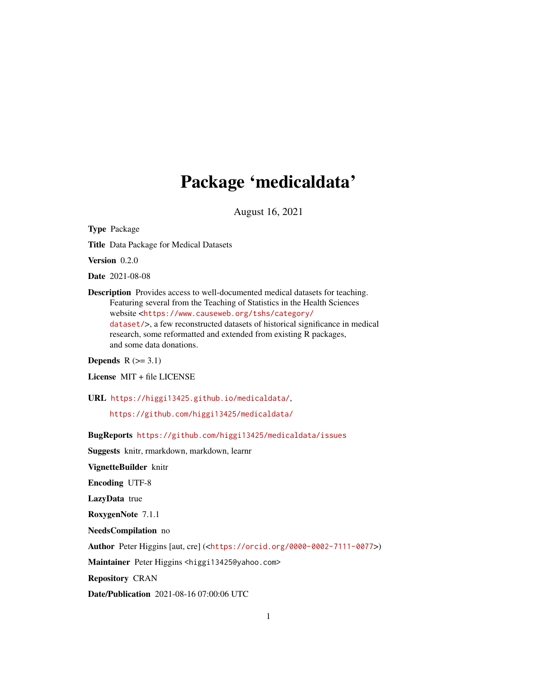## Package 'medicaldata'

August 16, 2021

Type Package Title Data Package for Medical Datasets Version 0.2.0 Date 2021-08-08 Description Provides access to well-documented medical datasets for teaching. Featuring several from the Teaching of Statistics in the Health Sciences website <[https://www.causeweb.org/tshs/category/](https://www.causeweb.org/tshs/category/dataset/) [dataset/](https://www.causeweb.org/tshs/category/dataset/)>, a few reconstructed datasets of historical significance in medical research, some reformatted and extended from existing R packages,

Depends  $R$  ( $>= 3.1$ )

License MIT + file LICENSE

and some data donations.

URL <https://higgi13425.github.io/medicaldata/>,

<https://github.com/higgi13425/medicaldata/>

BugReports <https://github.com/higgi13425/medicaldata/issues>

Suggests knitr, rmarkdown, markdown, learnr

VignetteBuilder knitr

Encoding UTF-8

LazyData true

RoxygenNote 7.1.1

NeedsCompilation no

Author Peter Higgins [aut, cre] (<<https://orcid.org/0000-0002-7111-0077>>)

Maintainer Peter Higgins <higgi13425@yahoo.com>

Repository CRAN

Date/Publication 2021-08-16 07:00:06 UTC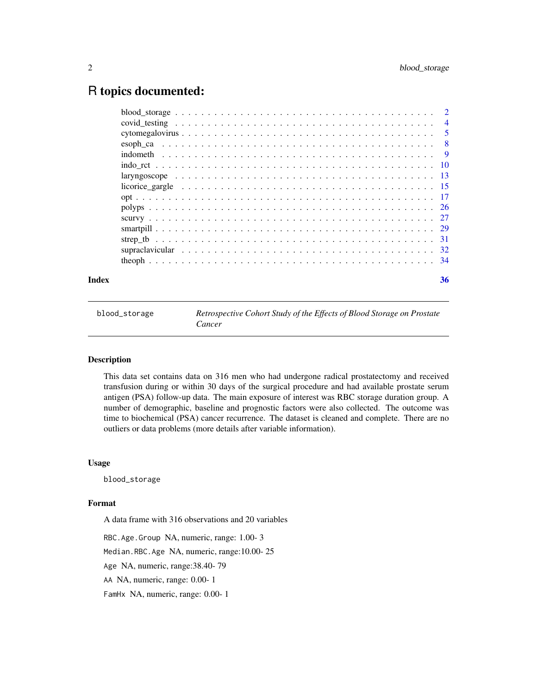### <span id="page-1-0"></span>R topics documented:

| Index | 36 |
|-------|----|
|       |    |
|       |    |
|       |    |
|       |    |
|       |    |
|       |    |
|       |    |
|       |    |
|       |    |
|       |    |
|       |    |
|       |    |
|       |    |
|       |    |
|       |    |

blood\_storage *Retrospective Cohort Study of the Effects of Blood Storage on Prostate Cancer*

#### Description

This data set contains data on 316 men who had undergone radical prostatectomy and received transfusion during or within 30 days of the surgical procedure and had available prostate serum antigen (PSA) follow-up data. The main exposure of interest was RBC storage duration group. A number of demographic, baseline and prognostic factors were also collected. The outcome was time to biochemical (PSA) cancer recurrence. The dataset is cleaned and complete. There are no outliers or data problems (more details after variable information).

#### Usage

blood\_storage

#### Format

A data frame with 316 observations and 20 variables

RBC.Age.Group NA, numeric, range: 1.00- 3 Median.RBC.Age NA, numeric, range:10.00- 25 Age NA, numeric, range:38.40- 79 AA NA, numeric, range: 0.00- 1 FamHx NA, numeric, range: 0.00- 1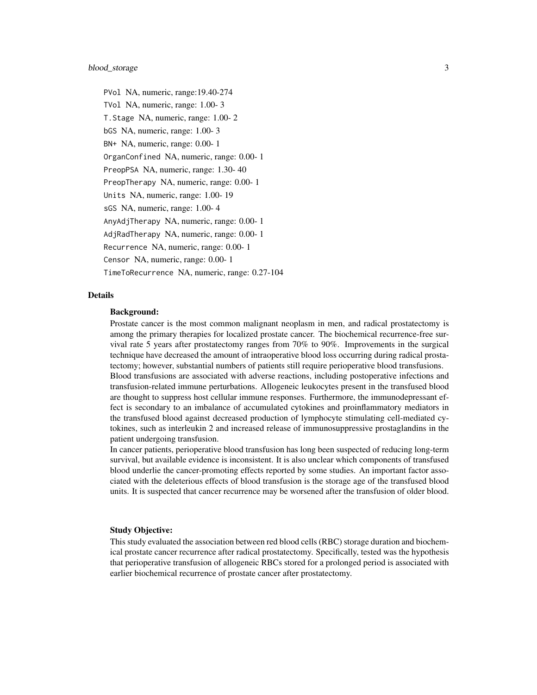#### blood\_storage 3

PVol NA, numeric, range:19.40-274 TVol NA, numeric, range: 1.00- 3 T.Stage NA, numeric, range: 1.00- 2 bGS NA, numeric, range: 1.00- 3 BN+ NA, numeric, range: 0.00- 1 OrganConfined NA, numeric, range: 0.00- 1 PreopPSA NA, numeric, range: 1.30- 40 PreopTherapy NA, numeric, range: 0.00- 1 Units NA, numeric, range: 1.00- 19 sGS NA, numeric, range: 1.00- 4 AnyAdjTherapy NA, numeric, range: 0.00- 1 AdjRadTherapy NA, numeric, range: 0.00- 1 Recurrence NA, numeric, range: 0.00- 1 Censor NA, numeric, range: 0.00- 1 TimeToRecurrence NA, numeric, range: 0.27-104

### Details

#### Background:

Prostate cancer is the most common malignant neoplasm in men, and radical prostatectomy is among the primary therapies for localized prostate cancer. The biochemical recurrence-free survival rate 5 years after prostatectomy ranges from 70% to 90%. Improvements in the surgical technique have decreased the amount of intraoperative blood loss occurring during radical prostatectomy; however, substantial numbers of patients still require perioperative blood transfusions. Blood transfusions are associated with adverse reactions, including postoperative infections and transfusion-related immune perturbations. Allogeneic leukocytes present in the transfused blood are thought to suppress host cellular immune responses. Furthermore, the immunodepressant effect is secondary to an imbalance of accumulated cytokines and proinflammatory mediators in the transfused blood against decreased production of lymphocyte stimulating cell-mediated cytokines, such as interleukin 2 and increased release of immunosuppressive prostaglandins in the patient undergoing transfusion.

In cancer patients, perioperative blood transfusion has long been suspected of reducing long-term survival, but available evidence is inconsistent. It is also unclear which components of transfused blood underlie the cancer-promoting effects reported by some studies. An important factor associated with the deleterious effects of blood transfusion is the storage age of the transfused blood units. It is suspected that cancer recurrence may be worsened after the transfusion of older blood.

#### Study Objective:

This study evaluated the association between red blood cells (RBC) storage duration and biochemical prostate cancer recurrence after radical prostatectomy. Specifically, tested was the hypothesis that perioperative transfusion of allogeneic RBCs stored for a prolonged period is associated with earlier biochemical recurrence of prostate cancer after prostatectomy.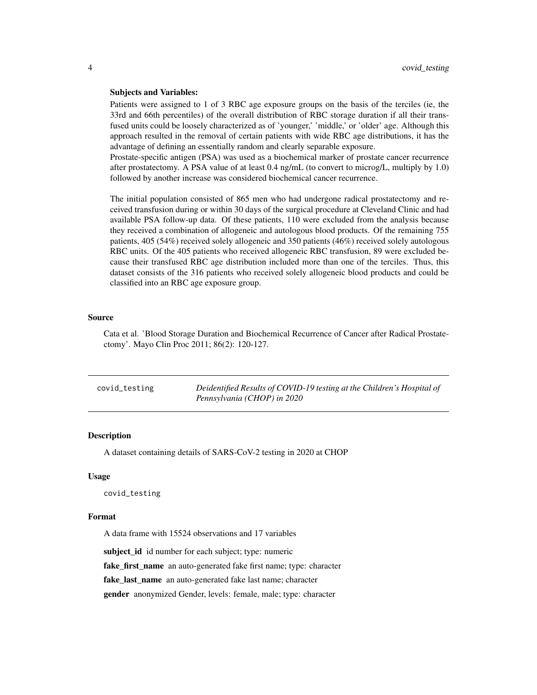#### <span id="page-3-0"></span>Subjects and Variables:

Patients were assigned to 1 of 3 RBC age exposure groups on the basis of the terciles (ie, the 33rd and 66th percentiles) of the overall distribution of RBC storage duration if all their transfused units could be loosely characterized as of 'younger,' 'middle,' or 'older' age. Although this approach resulted in the removal of certain patients with wide RBC age distributions, it has the advantage of defining an essentially random and clearly separable exposure.

Prostate-specific antigen (PSA) was used as a biochemical marker of prostate cancer recurrence after prostatectomy. A PSA value of at least 0.4 ng/mL (to convert to microg/L, multiply by 1.0) followed by another increase was considered biochemical cancer recurrence.

The initial population consisted of 865 men who had undergone radical prostatectomy and received transfusion during or within 30 days of the surgical procedure at Cleveland Clinic and had available PSA follow-up data. Of these patients, 110 were excluded from the analysis because they received a combination of allogeneic and autologous blood products. Of the remaining 755 patients, 405 (54%) received solely allogeneic and 350 patients (46%) received solely autologous RBC units. Of the 405 patients who received allogeneic RBC transfusion, 89 were excluded because their transfused RBC age distribution included more than one of the terciles. Thus, this dataset consists of the 316 patients who received solely allogeneic blood products and could be classified into an RBC age exposure group.

#### Source

Cata et al. 'Blood Storage Duration and Biochemical Recurrence of Cancer after Radical Prostatectomy'. Mayo Clin Proc 2011; 86(2): 120-127.

| covid_testing | Deidentified Results of COVID-19 testing at the Children's Hospital of |
|---------------|------------------------------------------------------------------------|
|               | Pennsylvania (CHOP) in 2020                                            |

#### Description

A dataset containing details of SARS-CoV-2 testing in 2020 at CHOP

#### Usage

covid\_testing

#### Format

A data frame with 15524 observations and 17 variables

subject id id number for each subject; type: numeric

fake\_first\_name an auto-generated fake first name; type: character

fake\_last\_name an auto-generated fake last name; character

gender anonymized Gender, levels: female, male; type: character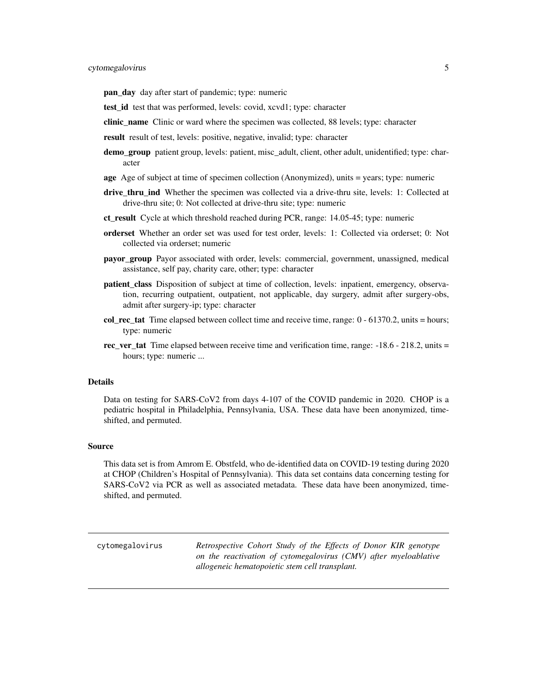<span id="page-4-0"></span>pan\_day day after start of pandemic; type: numeric

- test id test that was performed, levels: covid, xcvd1; type: character
- clinic name Clinic or ward where the specimen was collected, 88 levels; type: character
- result result of test, levels: positive, negative, invalid; type: character
- demo\_group patient group, levels: patient, misc\_adult, client, other adult, unidentified; type: character
- age Age of subject at time of specimen collection (Anonymized), units = years; type: numeric
- drive\_thru\_ind Whether the specimen was collected via a drive-thru site, levels: 1: Collected at drive-thru site; 0: Not collected at drive-thru site; type: numeric
- ct result Cycle at which threshold reached during PCR, range: 14.05-45; type: numeric
- orderset Whether an order set was used for test order, levels: 1: Collected via orderset; 0: Not collected via orderset; numeric
- **payor** group Payor associated with order, levels: commercial, government, unassigned, medical assistance, self pay, charity care, other; type: character
- patient\_class Disposition of subject at time of collection, levels: inpatient, emergency, observation, recurring outpatient, outpatient, not applicable, day surgery, admit after surgery-obs, admit after surgery-ip; type: character
- col\_rec\_tat Time elapsed between collect time and receive time, range: 0 61370.2, units = hours; type: numeric
- rec ver tat Time elapsed between receive time and verification time, range:  $-18.6 218.2$ , units  $=$ hours; type: numeric ...

#### Details

Data on testing for SARS-CoV2 from days 4-107 of the COVID pandemic in 2020. CHOP is a pediatric hospital in Philadelphia, Pennsylvania, USA. These data have been anonymized, timeshifted, and permuted.

#### Source

This data set is from Amrom E. Obstfeld, who de-identified data on COVID-19 testing during 2020 at CHOP (Children's Hospital of Pennsylvania). This data set contains data concerning testing for SARS-CoV2 via PCR as well as associated metadata. These data have been anonymized, timeshifted, and permuted.

cytomegalovirus *Retrospective Cohort Study of the Effects of Donor KIR genotype on the reactivation of cytomegalovirus (CMV) after myeloablative allogeneic hematopoietic stem cell transplant.*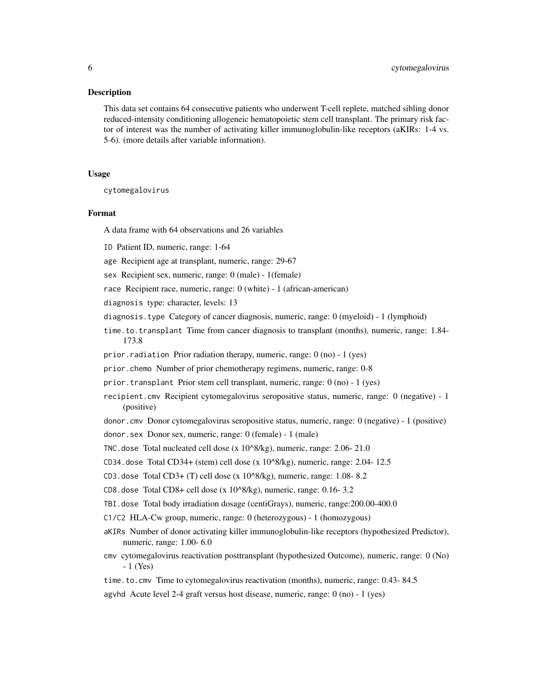#### Description

This data set contains 64 consecutive patients who underwent T-cell replete, matched sibling donor reduced-intensity conditioning allogeneic hematopoietic stem cell transplant. The primary risk factor of interest was the number of activating killer immunoglobulin-like receptors (aKIRs: 1-4 vs. 5-6). (more details after variable information).

#### Usage

cytomegalovirus

#### Format

A data frame with 64 observations and 26 variables

ID Patient ID, numeric, range: 1-64

age Recipient age at transplant, numeric, range: 29-67

sex Recipient sex, numeric, range: 0 (male) - 1(female)

race Recipient race, numeric, range: 0 (white) - 1 (african-american)

diagnosis type: character, levels: 13

- diagnosis.type Category of cancer diagnosis, numeric, range: 0 (myeloid) 1 (lymphoid)
- time.to.transplant Time from cancer diagnosis to transplant (months), numeric, range: 1.84- 173.8
- prior. radiation Prior radiation therapy, numeric, range:  $0$  (no) 1 (yes)
- prior.chemo Number of prior chemotherapy regimens, numeric, range: 0-8
- prior.transplant Prior stem cell transplant, numeric, range: 0 (no) 1 (yes)
- recipient.cmv Recipient cytomegalovirus seropositive status, numeric, range: 0 (negative) 1 (positive)
- donor.cmv Donor cytomegalovirus seropositive status, numeric, range: 0 (negative) 1 (positive)
- donor.sex Donor sex, numeric, range: 0 (female) 1 (male)
- TNC.dose Total nucleated cell dose (x 10^8/kg), numeric, range: 2.06- 21.0
- CD34.dose Total CD34+ (stem) cell dose (x 10^8/kg), numeric, range: 2.04- 12.5
- CD3.dose Total CD3+ (T) cell dose (x 10^8/kg), numeric, range: 1.08- 8.2
- CD8.dose Total CD8+ cell dose  $(x 10^8/kg)$ , numeric, range: 0.16- 3.2
- TBI.dose Total body irradiation dosage (centiGrays), numeric, range:200.00-400.0
- C1/C2 HLA-Cw group, numeric, range: 0 (heterozygous) 1 (homozygous)
- aKIRs Number of donor activating killer immunoglobulin-like receptors (hypothesized Predictor), numeric, range: 1.00- 6.0
- cmv cytomegalovirus reactivation posttransplant (hypothesized Outcome), numeric, range: 0 (No) - 1 (Yes)
- time.to.cmv Time to cytomegalovirus reactivation (months), numeric, range: 0.43- 84.5

agvhd Acute level 2-4 graft versus host disease, numeric, range: 0 (no) - 1 (yes)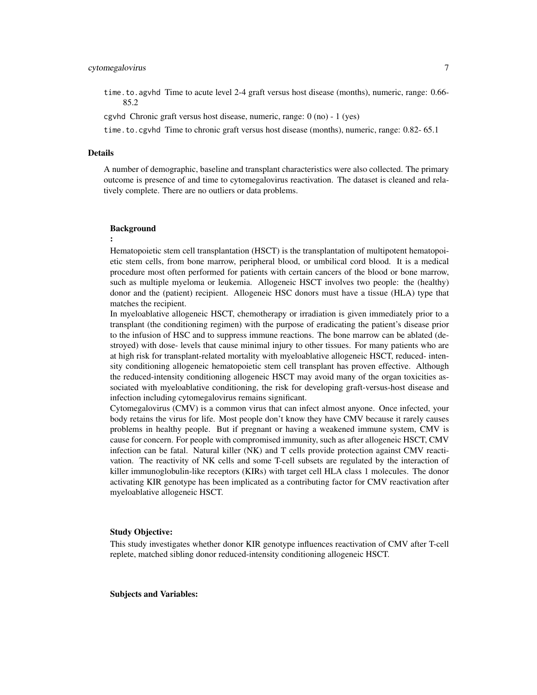time.to.agvhd Time to acute level 2-4 graft versus host disease (months), numeric, range: 0.66- 85.2

cgvhd Chronic graft versus host disease, numeric, range: 0 (no) - 1 (yes)

time.to.cgvhd Time to chronic graft versus host disease (months), numeric, range: 0.82- 65.1

#### Details

A number of demographic, baseline and transplant characteristics were also collected. The primary outcome is presence of and time to cytomegalovirus reactivation. The dataset is cleaned and relatively complete. There are no outliers or data problems.

#### Background

#### :

Hematopoietic stem cell transplantation (HSCT) is the transplantation of multipotent hematopoietic stem cells, from bone marrow, peripheral blood, or umbilical cord blood. It is a medical procedure most often performed for patients with certain cancers of the blood or bone marrow, such as multiple myeloma or leukemia. Allogeneic HSCT involves two people: the (healthy) donor and the (patient) recipient. Allogeneic HSC donors must have a tissue (HLA) type that matches the recipient.

In myeloablative allogeneic HSCT, chemotherapy or irradiation is given immediately prior to a transplant (the conditioning regimen) with the purpose of eradicating the patient's disease prior to the infusion of HSC and to suppress immune reactions. The bone marrow can be ablated (destroyed) with dose- levels that cause minimal injury to other tissues. For many patients who are at high risk for transplant-related mortality with myeloablative allogeneic HSCT, reduced- intensity conditioning allogeneic hematopoietic stem cell transplant has proven effective. Although the reduced-intensity conditioning allogeneic HSCT may avoid many of the organ toxicities associated with myeloablative conditioning, the risk for developing graft-versus-host disease and infection including cytomegalovirus remains significant.

Cytomegalovirus (CMV) is a common virus that can infect almost anyone. Once infected, your body retains the virus for life. Most people don't know they have CMV because it rarely causes problems in healthy people. But if pregnant or having a weakened immune system, CMV is cause for concern. For people with compromised immunity, such as after allogeneic HSCT, CMV infection can be fatal. Natural killer (NK) and T cells provide protection against CMV reactivation. The reactivity of NK cells and some T-cell subsets are regulated by the interaction of killer immunoglobulin-like receptors (KIRs) with target cell HLA class 1 molecules. The donor activating KIR genotype has been implicated as a contributing factor for CMV reactivation after myeloablative allogeneic HSCT.

#### Study Objective:

This study investigates whether donor KIR genotype influences reactivation of CMV after T-cell replete, matched sibling donor reduced-intensity conditioning allogeneic HSCT.

Subjects and Variables: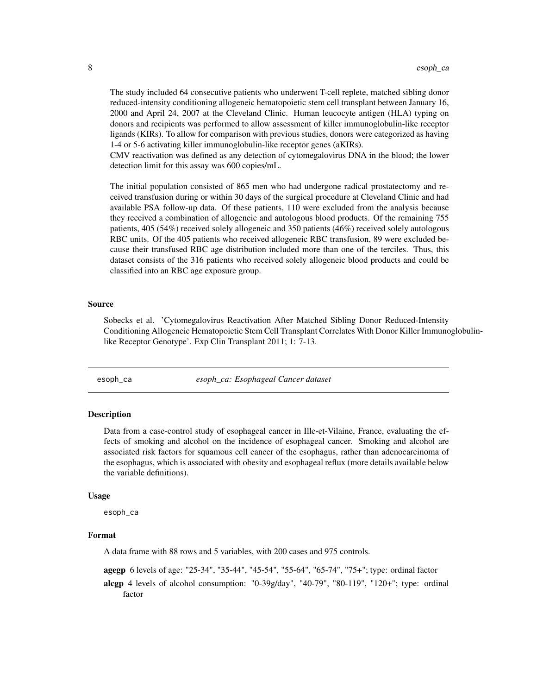<span id="page-7-0"></span>The study included 64 consecutive patients who underwent T-cell replete, matched sibling donor reduced-intensity conditioning allogeneic hematopoietic stem cell transplant between January 16, 2000 and April 24, 2007 at the Cleveland Clinic. Human leucocyte antigen (HLA) typing on donors and recipients was performed to allow assessment of killer immunoglobulin-like receptor ligands (KIRs). To allow for comparison with previous studies, donors were categorized as having 1-4 or 5-6 activating killer immunoglobulin-like receptor genes (aKIRs).

CMV reactivation was defined as any detection of cytomegalovirus DNA in the blood; the lower detection limit for this assay was 600 copies/mL.

The initial population consisted of 865 men who had undergone radical prostatectomy and received transfusion during or within 30 days of the surgical procedure at Cleveland Clinic and had available PSA follow-up data. Of these patients, 110 were excluded from the analysis because they received a combination of allogeneic and autologous blood products. Of the remaining 755 patients, 405 (54%) received solely allogeneic and 350 patients (46%) received solely autologous RBC units. Of the 405 patients who received allogeneic RBC transfusion, 89 were excluded because their transfused RBC age distribution included more than one of the terciles. Thus, this dataset consists of the 316 patients who received solely allogeneic blood products and could be classified into an RBC age exposure group.

#### Source

Sobecks et al. 'Cytomegalovirus Reactivation After Matched Sibling Donor Reduced-Intensity Conditioning Allogeneic Hematopoietic Stem Cell Transplant Correlates With Donor Killer Immunoglobulinlike Receptor Genotype'. Exp Clin Transplant 2011; 1: 7-13.

esoph\_ca *esoph\_ca: Esophageal Cancer dataset*

#### Description

Data from a case-control study of esophageal cancer in Ille-et-Vilaine, France, evaluating the effects of smoking and alcohol on the incidence of esophageal cancer. Smoking and alcohol are associated risk factors for squamous cell cancer of the esophagus, rather than adenocarcinoma of the esophagus, which is associated with obesity and esophageal reflux (more details available below the variable definitions).

#### Usage

esoph\_ca

### Format

A data frame with 88 rows and 5 variables, with 200 cases and 975 controls.

agegp 6 levels of age: "25-34", "35-44", "45-54", "55-64", "65-74", "75+"; type: ordinal factor alcgp 4 levels of alcohol consumption: "0-39g/day", "40-79", "80-119", "120+"; type: ordinal factor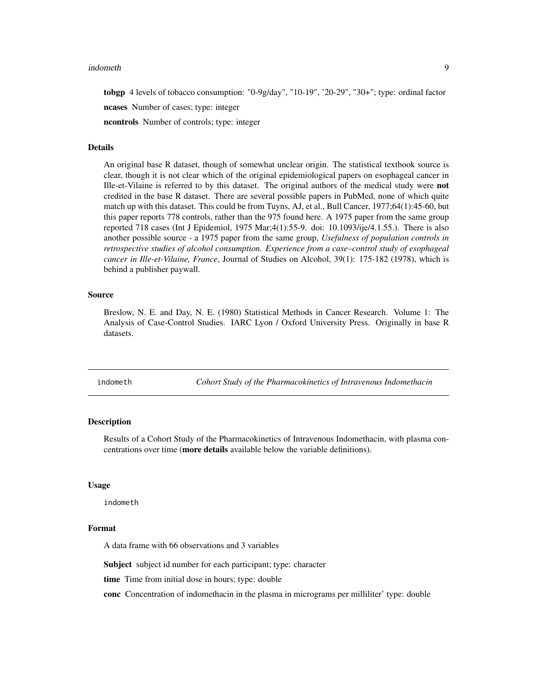#### <span id="page-8-0"></span>indometh 9

tobgp 4 levels of tobacco consumption: "0-9g/day", "10-19", '20-29", "30+"; type: ordinal factor ncases Number of cases; type: integer

ncontrols Number of controls; type: integer

#### Details

An original base R dataset, though of somewhat unclear origin. The statistical textbook source is clear, though it is not clear which of the original epidemiological papers on esophageal cancer in Ille-et-Vilaine is referred to by this dataset. The original authors of the medical study were not credited in the base R dataset. There are several possible papers in PubMed, none of which quite match up with this dataset. This could be from Tuyns, AJ, et al., Bull Cancer, 1977;64(1):45-60, but this paper reports 778 controls, rather than the 975 found here. A 1975 paper from the same group reported 718 cases (Int J Epidemiol, 1975 Mar;4(1):55-9. doi: 10.1093/ije/4.1.55.). There is also another possible source - a 1975 paper from the same group, *Usefulness of population controls in retrospective studies of alcohol consumption. Experience from a case–control study of esophageal cancer in Ille-et-Vilaine, France*, Journal of Studies on Alcohol, 39(1): 175-182 (1978), which is behind a publisher paywall.

#### Source

Breslow, N. E. and Day, N. E. (1980) Statistical Methods in Cancer Research. Volume 1: The Analysis of Case-Control Studies. IARC Lyon / Oxford University Press. Originally in base R datasets.

indometh *Cohort Study of the Pharmacokinetics of Intravenous Indomethacin*

#### **Description**

Results of a Cohort Study of the Pharmacokinetics of Intravenous Indomethacin, with plasma concentrations over time (more details available below the variable definitions).

#### Usage

indometh

#### Format

A data frame with 66 observations and 3 variables

Subject subject id number for each participant; type: character

time Time from initial dose in hours; type: double

conc Concentration of indomethacin in the plasma in micrograms per milliliter' type: double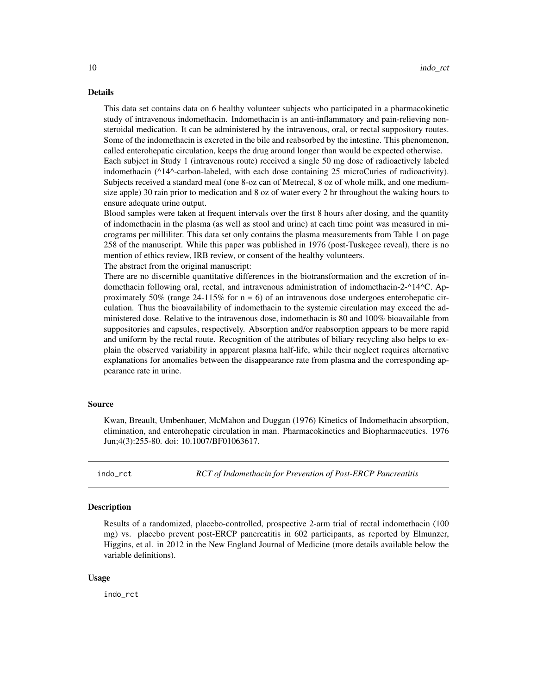<span id="page-9-0"></span>This data set contains data on 6 healthy volunteer subjects who participated in a pharmacokinetic study of intravenous indomethacin. Indomethacin is an anti-inflammatory and pain-relieving nonsteroidal medication. It can be administered by the intravenous, oral, or rectal suppository routes. Some of the indomethacin is excreted in the bile and reabsorbed by the intestine. This phenomenon, called enterohepatic circulation, keeps the drug around longer than would be expected otherwise. Each subject in Study 1 (intravenous route) received a single 50 mg dose of radioactively labeled indomethacin (^14^-carbon-labeled, with each dose containing 25 microCuries of radioactivity).

Subjects received a standard meal (one 8-oz can of Metrecal, 8 oz of whole milk, and one mediumsize apple) 30 rain prior to medication and 8 oz of water every 2 hr throughout the waking hours to ensure adequate urine output.

Blood samples were taken at frequent intervals over the first 8 hours after dosing, and the quantity of indomethacin in the plasma (as well as stool and urine) at each time point was measured in micrograms per milliliter. This data set only contains the plasma measurements from Table 1 on page 258 of the manuscript. While this paper was published in 1976 (post-Tuskegee reveal), there is no mention of ethics review, IRB review, or consent of the healthy volunteers.

The abstract from the original manuscript:

There are no discernible quantitative differences in the biotransformation and the excretion of indomethacin following oral, rectal, and intravenous administration of indomethacin-2-^14^C. Approximately 50% (range  $24-115%$  for  $n = 6$ ) of an intravenous dose undergoes enterohepatic circulation. Thus the bioavailability of indomethacin to the systemic circulation may exceed the administered dose. Relative to the intravenous dose, indomethacin is 80 and 100% bioavailable from suppositories and capsules, respectively. Absorption and/or reabsorption appears to be more rapid and uniform by the rectal route. Recognition of the attributes of biliary recycling also helps to explain the observed variability in apparent plasma half-life, while their neglect requires alternative explanations for anomalies between the disappearance rate from plasma and the corresponding appearance rate in urine.

#### Source

Kwan, Breault, Umbenhauer, McMahon and Duggan (1976) Kinetics of Indomethacin absorption, elimination, and enterohepatic circulation in man. Pharmacokinetics and Biopharmaceutics. 1976 Jun;4(3):255-80. doi: 10.1007/BF01063617.

indo\_rct *RCT of Indomethacin for Prevention of Post-ERCP Pancreatitis*

#### **Description**

Results of a randomized, placebo-controlled, prospective 2-arm trial of rectal indomethacin (100 mg) vs. placebo prevent post-ERCP pancreatitis in 602 participants, as reported by Elmunzer, Higgins, et al. in 2012 in the New England Journal of Medicine (more details available below the variable definitions).

#### Usage

indo\_rct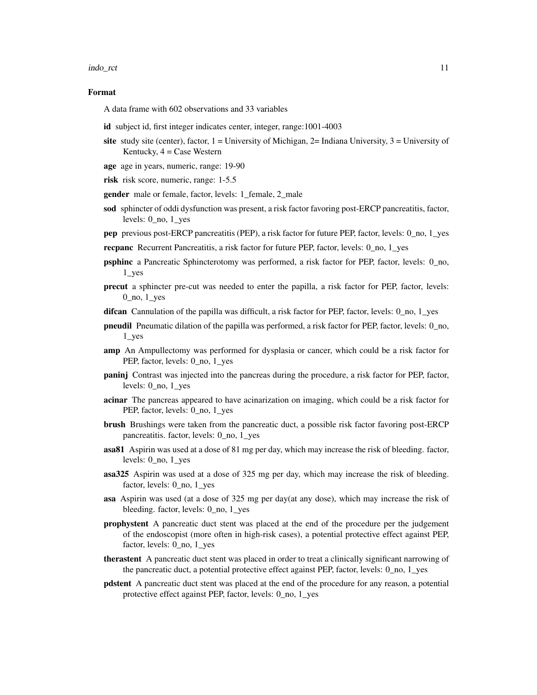#### indo\_rct 11

#### Format

A data frame with 602 observations and 33 variables

- id subject id, first integer indicates center, integer, range:1001-4003
- site study site (center), factor,  $1 =$  University of Michigan,  $2 =$  Indiana University,  $3 =$  University of Kentucky,  $4 = \text{Case Western}$
- age age in years, numeric, range: 19-90
- risk risk score, numeric, range: 1-5.5
- gender male or female, factor, levels: 1\_female, 2\_male
- sod sphincter of oddi dysfunction was present, a risk factor favoring post-ERCP pancreatitis, factor, levels: 0\_no, 1\_yes
- pep previous post-ERCP pancreatitis (PEP), a risk factor for future PEP, factor, levels: 0\_no, 1\_yes
- recpanc Recurrent Pancreatitis, a risk factor for future PEP, factor, levels: 0\_no, 1\_yes
- **psphinc** a Pancreatic Sphincterotomy was performed, a risk factor for PEP, factor, levels: 0 no, 1\_yes
- precut a sphincter pre-cut was needed to enter the papilla, a risk factor for PEP, factor, levels:  $0$ <sub>no</sub>,  $1$ <sub>yes</sub>
- difcan Cannulation of the papilla was difficult, a risk factor for PEP, factor, levels: 0\_no, 1\_yes
- pneudil Pneumatic dilation of the papilla was performed, a risk factor for PEP, factor, levels: 0\_no, 1\_yes
- amp An Ampullectomy was performed for dysplasia or cancer, which could be a risk factor for PEP, factor, levels: 0\_no, 1\_yes
- **paninj** Contrast was injected into the pancreas during the procedure, a risk factor for PEP, factor, levels: 0\_no, 1\_yes
- acinar The pancreas appeared to have acinarization on imaging, which could be a risk factor for PEP, factor, levels: 0\_no, 1\_yes
- brush Brushings were taken from the pancreatic duct, a possible risk factor favoring post-ERCP pancreatitis. factor, levels: 0\_no, 1\_yes
- asa81 Aspirin was used at a dose of 81 mg per day, which may increase the risk of bleeding. factor, levels: 0\_no, 1\_yes
- asa325 Aspirin was used at a dose of 325 mg per day, which may increase the risk of bleeding. factor, levels: 0\_no, 1\_yes
- asa Aspirin was used (at a dose of 325 mg per day(at any dose), which may increase the risk of bleeding. factor, levels: 0\_no, 1\_yes
- prophystent A pancreatic duct stent was placed at the end of the procedure per the judgement of the endoscopist (more often in high-risk cases), a potential protective effect against PEP, factor, levels: 0\_no, 1\_yes
- therastent A pancreatic duct stent was placed in order to treat a clinically significant narrowing of the pancreatic duct, a potential protective effect against PEP, factor, levels: 0\_no, 1\_yes
- pdstent A pancreatic duct stent was placed at the end of the procedure for any reason, a potential protective effect against PEP, factor, levels: 0\_no, 1\_yes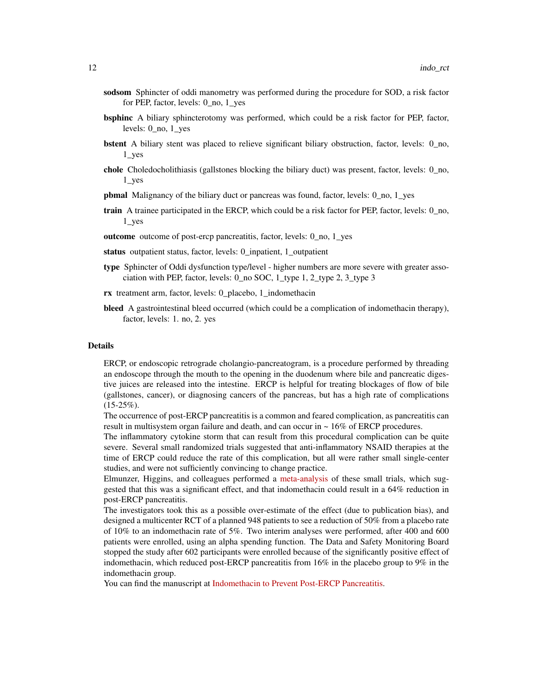- sodsom Sphincter of oddi manometry was performed during the procedure for SOD, a risk factor for PEP, factor, levels: 0\_no, 1\_yes
- **bsphinc** A biliary sphincterotomy was performed, which could be a risk factor for PEP, factor, levels: 0\_no, 1\_yes
- bstent A biliary stent was placed to relieve significant biliary obstruction, factor, levels: 0\_no, 1\_yes
- chole Choledocholithiasis (gallstones blocking the biliary duct) was present, factor, levels: 0\_no, 1\_yes
- pbmal Malignancy of the biliary duct or pancreas was found, factor, levels: 0\_no, 1\_yes
- train A trainee participated in the ERCP, which could be a risk factor for PEP, factor, levels: 0\_no, 1\_yes
- outcome outcome of post-ercp pancreatitis, factor, levels: 0\_no, 1\_yes
- status outpatient status, factor, levels: 0\_inpatient, 1\_outpatient
- type Sphincter of Oddi dysfunction type/level higher numbers are more severe with greater association with PEP, factor, levels: 0\_no SOC, 1\_type 1, 2\_type 2, 3\_type 3
- rx treatment arm, factor, levels: 0\_placebo, 1\_indomethacin
- bleed A gastrointestinal bleed occurred (which could be a complication of indomethacin therapy), factor, levels: 1. no, 2. yes

ERCP, or endoscopic retrograde cholangio-pancreatogram, is a procedure performed by threading an endoscope through the mouth to the opening in the duodenum where bile and pancreatic digestive juices are released into the intestine. ERCP is helpful for treating blockages of flow of bile (gallstones, cancer), or diagnosing cancers of the pancreas, but has a high rate of complications  $(15-25\%)$ .

The occurrence of post-ERCP pancreatitis is a common and feared complication, as pancreatitis can result in multisystem organ failure and death, and can occur in ~ 16% of ERCP procedures.

The inflammatory cytokine storm that can result from this procedural complication can be quite severe. Several small randomized trials suggested that anti-inflammatory NSAID therapies at the time of ERCP could reduce the rate of this complication, but all were rather small single-center studies, and were not sufficiently convincing to change practice.

Elmunzer, Higgins, and colleagues performed a [meta-analysis](https://pubmed.ncbi.nlm.nih.gov/18375470/) of these small trials, which suggested that this was a significant effect, and that indomethacin could result in a 64% reduction in post-ERCP pancreatitis.

The investigators took this as a possible over-estimate of the effect (due to publication bias), and designed a multicenter RCT of a planned 948 patients to see a reduction of 50% from a placebo rate of 10% to an indomethacin rate of 5%. Two interim analyses were performed, after 400 and 600 patients were enrolled, using an alpha spending function. The Data and Safety Monitoring Board stopped the study after 602 participants were enrolled because of the significantly positive effect of indomethacin, which reduced post-ERCP pancreatitis from  $16\%$  in the placebo group to 9% in the indomethacin group.

You can find the manuscript at [Indomethacin to Prevent Post-ERCP Pancreatitis.](https://www.nejm.org/doi/full/10.1056/NEJMoa1111103)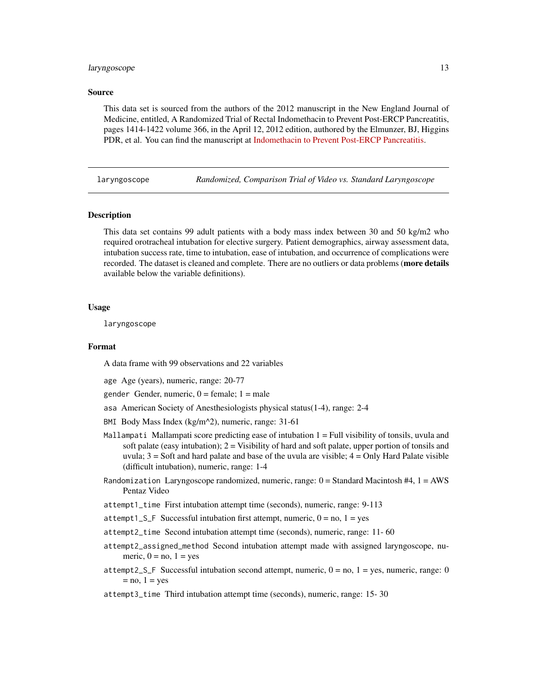#### <span id="page-12-0"></span>laryngoscope 13

#### Source

This data set is sourced from the authors of the 2012 manuscript in the New England Journal of Medicine, entitled, A Randomized Trial of Rectal Indomethacin to Prevent Post-ERCP Pancreatitis, pages 1414-1422 volume 366, in the April 12, 2012 edition, authored by the Elmunzer, BJ, Higgins PDR, et al. You can find the manuscript at [Indomethacin to Prevent Post-ERCP Pancreatitis.](https://www.nejm.org/doi/full/10.1056/NEJMoa1111103)

#### laryngoscope *Randomized, Comparison Trial of Video vs. Standard Laryngoscope*

#### Description

This data set contains 99 adult patients with a body mass index between 30 and 50 kg/m2 who required orotracheal intubation for elective surgery. Patient demographics, airway assessment data, intubation success rate, time to intubation, ease of intubation, and occurrence of complications were recorded. The dataset is cleaned and complete. There are no outliers or data problems (more details available below the variable definitions).

#### Usage

laryngoscope

#### Format

A data frame with 99 observations and 22 variables

age Age (years), numeric, range: 20-77

gender Gender, numeric,  $0 =$  female;  $1 =$  male

- asa American Society of Anesthesiologists physical status(1-4), range: 2-4
- BMI Body Mass Index (kg/m^2), numeric, range: 31-61
- Mallampati Mallampati score predicting ease of intubation 1 = Full visibility of tonsils, uvula and soft palate (easy intubation);  $2 =$  Visibility of hard and soft palate, upper portion of tonsils and uvula;  $3 =$  Soft and hard palate and base of the uvula are visible;  $4 =$  Only Hard Palate visible (difficult intubation), numeric, range: 1-4
- Randomization Laryngoscope randomized, numeric, range:  $0 =$  Standard Macintosh #4,  $1 =$  AWS Pentaz Video
- attempt1\_time First intubation attempt time (seconds), numeric, range: 9-113
- attempt1\_S\_F Successful intubation first attempt, numeric,  $0 = no$ ,  $1 = yes$
- attempt2\_time Second intubation attempt time (seconds), numeric, range: 11- 60
- attempt2\_assigned\_method Second intubation attempt made with assigned laryngoscope, numeric,  $0 = no$ ,  $1 = yes$
- attempt2\_S\_F Successful intubation second attempt, numeric,  $0 = no$ ,  $1 = yes$ , numeric, range: 0  $=$  no,  $1 =$  yes
- attempt3\_time Third intubation attempt time (seconds), numeric, range: 15- 30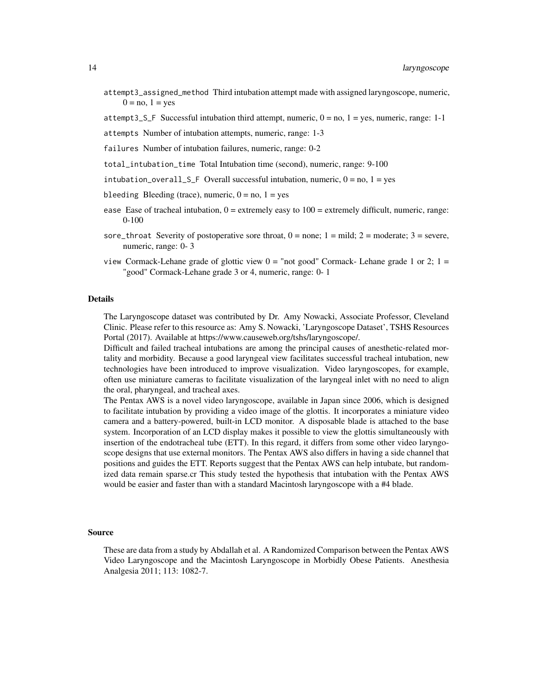- attempt3\_assigned\_method Third intubation attempt made with assigned laryngoscope, numeric,  $0 = no$ ,  $1 = yes$
- attempt3\_S\_F Successful intubation third attempt, numeric,  $0 = no$ ,  $1 = yes$ , numeric, range: 1-1
- attempts Number of intubation attempts, numeric, range: 1-3
- failures Number of intubation failures, numeric, range: 0-2
- total\_intubation\_time Total Intubation time (second), numeric, range: 9-100
- intubation\_overall\_S\_F Overall successful intubation, numeric,  $0 = no$ ,  $1 = yes$
- bleeding Bleeding (trace), numeric,  $0 = no$ ,  $1 = yes$
- ease Ease of tracheal intubation,  $0 =$  extremely easy to  $100 =$  extremely difficult, numeric, range: 0-100
- sore\_throat Severity of postoperative sore throat,  $0 =$  none;  $1 =$  mild;  $2 =$  moderate;  $3 =$  severe, numeric, range: 0- 3
- view Cormack-Lehane grade of glottic view  $0 =$  "not good" Cormack-Lehane grade 1 or 2;  $1 =$ "good" Cormack-Lehane grade 3 or 4, numeric, range: 0- 1

The Laryngoscope dataset was contributed by Dr. Amy Nowacki, Associate Professor, Cleveland Clinic. Please refer to this resource as: Amy S. Nowacki, 'Laryngoscope Dataset', TSHS Resources Portal (2017). Available at https://www.causeweb.org/tshs/laryngoscope/.

Difficult and failed tracheal intubations are among the principal causes of anesthetic-related mortality and morbidity. Because a good laryngeal view facilitates successful tracheal intubation, new technologies have been introduced to improve visualization. Video laryngoscopes, for example, often use miniature cameras to facilitate visualization of the laryngeal inlet with no need to align the oral, pharyngeal, and tracheal axes.

The Pentax AWS is a novel video laryngoscope, available in Japan since 2006, which is designed to facilitate intubation by providing a video image of the glottis. It incorporates a miniature video camera and a battery-powered, built-in LCD monitor. A disposable blade is attached to the base system. Incorporation of an LCD display makes it possible to view the glottis simultaneously with insertion of the endotracheal tube (ETT). In this regard, it differs from some other video laryngoscope designs that use external monitors. The Pentax AWS also differs in having a side channel that positions and guides the ETT. Reports suggest that the Pentax AWS can help intubate, but randomized data remain sparse.cr This study tested the hypothesis that intubation with the Pentax AWS would be easier and faster than with a standard Macintosh laryngoscope with a #4 blade.

#### Source

These are data from a study by Abdallah et al. A Randomized Comparison between the Pentax AWS Video Laryngoscope and the Macintosh Laryngoscope in Morbidly Obese Patients. Anesthesia Analgesia 2011; 113: 1082-7.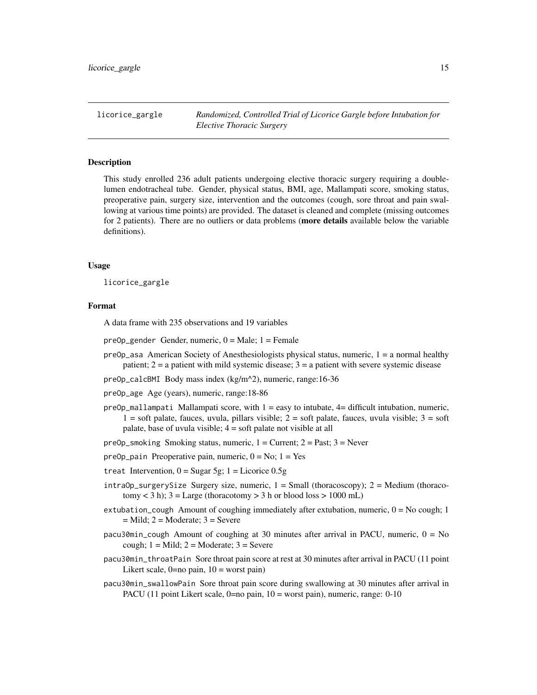<span id="page-14-0"></span>licorice\_gargle *Randomized, Controlled Trial of Licorice Gargle before Intubation for Elective Thoracic Surgery*

#### **Description**

This study enrolled 236 adult patients undergoing elective thoracic surgery requiring a doublelumen endotracheal tube. Gender, physical status, BMI, age, Mallampati score, smoking status, preoperative pain, surgery size, intervention and the outcomes (cough, sore throat and pain swallowing at various time points) are provided. The dataset is cleaned and complete (missing outcomes for 2 patients). There are no outliers or data problems (more details available below the variable definitions).

#### Usage

licorice\_gargle

#### Format

A data frame with 235 observations and 19 variables

- $preOp\_gender$  Gender, numeric,  $0 = Male$ ;  $1 = Female$
- $preOp<sub>-</sub>asa American Society of Anesthesiologists physical status, numeric,  $1 = a$  normal healthy$ patient;  $2 = a$  patient with mild systemic disease;  $3 = a$  patient with severe systemic disease
- preOp\_calcBMI Body mass index (kg/m^2), numeric, range:16-36
- preOp\_age Age (years), numeric, range:18-86
- $preOp_{\text{m}}$ allampati Mallampati score, with  $1 = e$ asy to intubate,  $4 =$  difficult intubation, numeric,  $1 =$ soft palate, fauces, uvula, pillars visible;  $2 =$ soft palate, fauces, uvula visible;  $3 =$ soft palate, base of uvula visible; 4 = soft palate not visible at all

preOp\_smoking Smoking status, numeric,  $1 =$  Current;  $2 =$  Past;  $3 =$  Never

preOp\_pain Preoperative pain, numeric,  $0 = No$ ;  $1 = Yes$ 

- treat Intervention,  $0 =$  Sugar 5g;  $1 =$  Licorice 0.5g
- $intrap$ <sub>SurgerySize Surgery size, numeric,  $1 = Small$  (thoracoscopy);  $2 = Medium$  (thoraco-</sub>  $tomy < 3 h$ );  $3 = Large (thoracotomy > 3 h or blood loss > 1000 mL)$
- extubation\_cough Amount of coughing immediately after extubation, numeric,  $0 = No$  cough; 1  $=$  Mild; 2 = Moderate; 3 = Severe
- pacu30min\_cough Amount of coughing at 30 minutes after arrival in PACU, numeric,  $0 = No$ cough;  $1 =$  Mild;  $2 =$  Moderate;  $3 =$  Severe
- pacu30min\_throatPain Sore throat pain score at rest at 30 minutes after arrival in PACU (11 point Likert scale,  $0=$ no pain,  $10 =$  worst pain)
- pacu30min\_swallowPain Sore throat pain score during swallowing at 30 minutes after arrival in PACU (11 point Likert scale, 0=no pain, 10 = worst pain), numeric, range: 0-10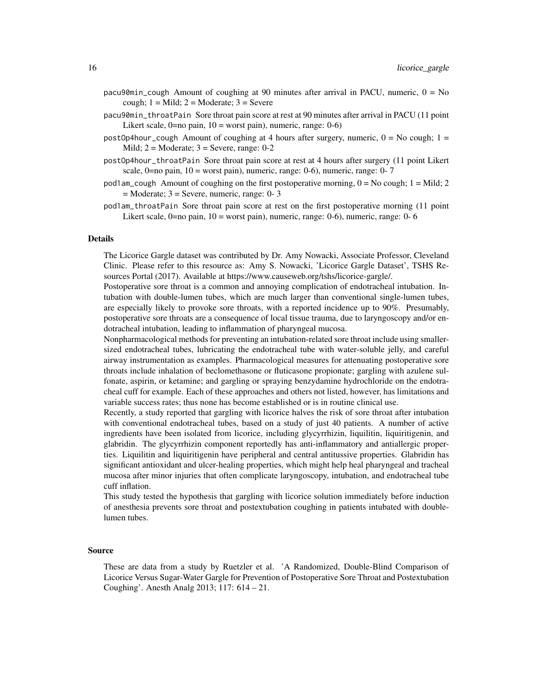- pacu90min\_cough Amount of coughing at 90 minutes after arrival in PACU, numeric,  $0 = No$ cough;  $1 =$  Mild;  $2 =$  Moderate;  $3 =$  Severe
- pacu90min\_throatPain Sore throat pain score at rest at 90 minutes after arrival in PACU (11 point Likert scale,  $0=$ no pain,  $10=$  worst pain), numeric, range:  $0-6$ )
- postOp4hour\_cough Amount of coughing at 4 hours after surgery, numeric,  $0 = No$  cough;  $1 =$ Mild;  $2 = \text{Modern}$ ;  $3 = \text{Server}$ , range: 0-2
- postOp4hour\_throatPain Sore throat pain score at rest at 4 hours after surgery (11 point Likert scale,  $0=$ no pain,  $10 =$  worst pain), numeric, range: 0-6), numeric, range: 0-7
- pod1am\_cough Amount of coughing on the first postoperative morning,  $0 = No$  cough;  $1 = Midl$ ; 2 = Moderate; 3 = Severe, numeric, range: 0- 3
- pod1am\_throatPain Sore throat pain score at rest on the first postoperative morning (11 point Likert scale, 0=no pain, 10 = worst pain), numeric, range: 0-6), numeric, range: 0-6

The Licorice Gargle dataset was contributed by Dr. Amy Nowacki, Associate Professor, Cleveland Clinic. Please refer to this resource as: Amy S. Nowacki, 'Licorice Gargle Dataset', TSHS Resources Portal (2017). Available at https://www.causeweb.org/tshs/licorice-gargle/.

Postoperative sore throat is a common and annoying complication of endotracheal intubation. Intubation with double-lumen tubes, which are much larger than conventional single-lumen tubes, are especially likely to provoke sore throats, with a reported incidence up to 90%. Presumably, postoperative sore throats are a consequence of local tissue trauma, due to laryngoscopy and/or endotracheal intubation, leading to inflammation of pharyngeal mucosa.

Nonpharmacological methods for preventing an intubation-related sore throat include using smallersized endotracheal tubes, lubricating the endotracheal tube with water-soluble jelly, and careful airway instrumentation as examples. Pharmacological measures for attenuating postoperative sore throats include inhalation of beclomethasone or fluticasone propionate; gargling with azulene sulfonate, aspirin, or ketamine; and gargling or spraying benzydamine hydrochloride on the endotracheal cuff for example. Each of these approaches and others not listed, however, has limitations and variable success rates; thus none has become established or is in routine clinical use.

Recently, a study reported that gargling with licorice halves the risk of sore throat after intubation with conventional endotracheal tubes, based on a study of just 40 patients. A number of active ingredients have been isolated from licorice, including glycyrrhizin, liquilitin, liquiritigenin, and glabridin. The glycyrrhizin component reportedly has anti-inflammatory and antiallergic properties. Liquilitin and liquiritigenin have peripheral and central antitussive properties. Glabridin has significant antioxidant and ulcer-healing properties, which might help heal pharyngeal and tracheal mucosa after minor injuries that often complicate laryngoscopy, intubation, and endotracheal tube cuff inflation.

This study tested the hypothesis that gargling with licorice solution immediately before induction of anesthesia prevents sore throat and postextubation coughing in patients intubated with doublelumen tubes.

#### Source

These are data from a study by Ruetzler et al. 'A Randomized, Double-Blind Comparison of Licorice Versus Sugar-Water Gargle for Prevention of Postoperative Sore Throat and Postextubation Coughing'. Anesth Analg 2013; 117: 614 – 21.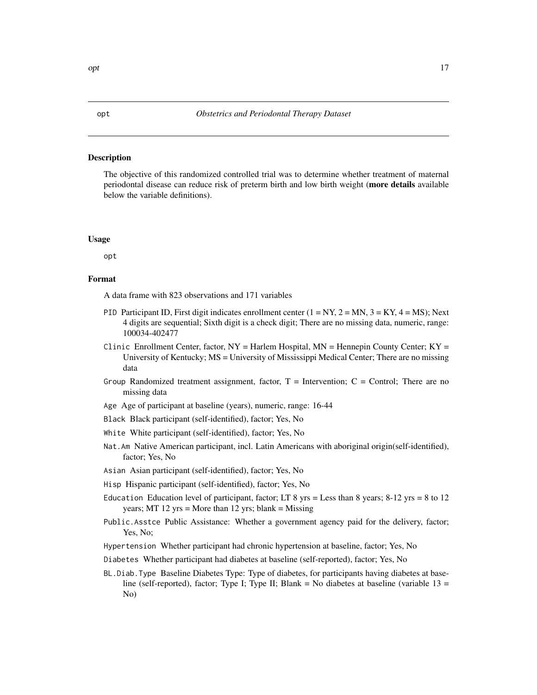#### <span id="page-16-0"></span>Description

The objective of this randomized controlled trial was to determine whether treatment of maternal periodontal disease can reduce risk of preterm birth and low birth weight (more details available below the variable definitions).

#### Usage

opt

#### Format

A data frame with 823 observations and 171 variables

- PID Participant ID, First digit indicates enrollment center  $(1 = NY, 2 = MN, 3 = KY, 4 = MS)$ ; Next 4 digits are sequential; Sixth digit is a check digit; There are no missing data, numeric, range: 100034-402477
- Clinic Enrollment Center, factor,  $NY = H$ arlem Hospital,  $MN = H$ ennepin County Center;  $KY = H$ University of Kentucky; MS = University of Mississippi Medical Center; There are no missing data
- Group Randomized treatment assignment, factor,  $T =$  Intervention;  $C =$  Control; There are no missing data
- Age Age of participant at baseline (years), numeric, range: 16-44
- Black Black participant (self-identified), factor; Yes, No
- White White participant (self-identified), factor; Yes, No
- Nat.Am Native American participant, incl. Latin Americans with aboriginal origin(self-identified), factor; Yes, No
- Asian Asian participant (self-identified), factor; Yes, No
- Hisp Hispanic participant (self-identified), factor; Yes, No

Education Education level of participant, factor; LT  $8 \text{ yrs} =$  Less than  $8 \text{ years}$ ;  $8-12 \text{ yrs} = 8$  to  $12$ years; MT 12 yrs = More than 12 yrs; blank = Missing

- Public.Asstce Public Assistance: Whether a government agency paid for the delivery, factor; Yes, No;
- Hypertension Whether participant had chronic hypertension at baseline, factor; Yes, No
- Diabetes Whether participant had diabetes at baseline (self-reported), factor; Yes, No
- BL.Diab.Type Baseline Diabetes Type: Type of diabetes, for participants having diabetes at baseline (self-reported), factor; Type I; Type II; Blank = No diabetes at baseline (variable  $13 =$ No)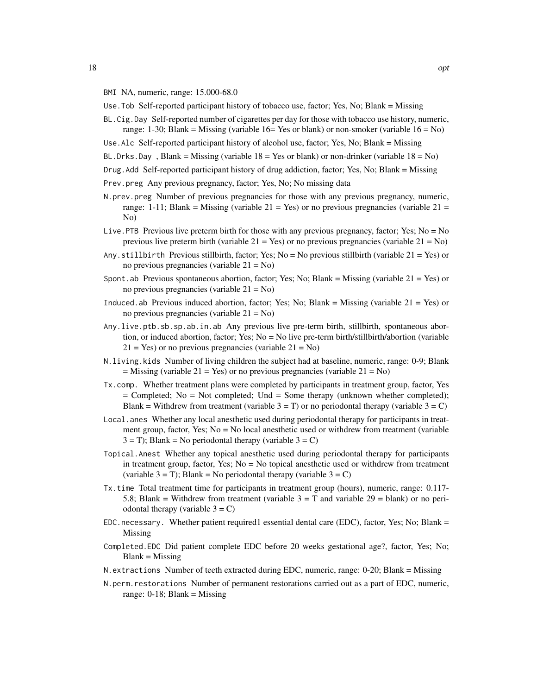- BMI NA, numeric, range: 15.000-68.0
- Use.Tob Self-reported participant history of tobacco use, factor; Yes, No; Blank = Missing
- BL.Cig.Day Self-reported number of cigarettes per day for those with tobacco use history, numeric, range: 1-30; Blank = Missing (variable 16= Yes or blank) or non-smoker (variable  $16 = No$ )
- Use.Alc Self-reported participant history of alcohol use, factor; Yes, No; Blank = Missing
- BL.Drks.Day, Blank = Missing (variable  $18 =$  Yes or blank) or non-drinker (variable  $18 =$  No)
- Drug.Add Self-reported participant history of drug addiction, factor; Yes, No; Blank = Missing
- Prev.preg Any previous pregnancy, factor; Yes, No; No missing data
- N.prev.preg Number of previous pregnancies for those with any previous pregnancy, numeric, range: 1-11; Blank = Missing (variable  $21 = Yes$ ) or no previous pregnancies (variable  $21 =$ No)
- Live. PTB Previous live preterm birth for those with any previous pregnancy, factor; Yes; No = No previous live preterm birth (variable  $21 = Yes$ ) or no previous pregnancies (variable  $21 = No$ )
- Any.stillbirth Previous stillbirth, factor; Yes; No = No previous stillbirth (variable 21 = Yes) or no previous pregnancies (variable 21 = No)
- Spont.ab Previous spontaneous abortion, factor; Yes; No; Blank = Missing (variable  $21 = Yes$ ) or no previous pregnancies (variable 21 = No)
- Induced.ab Previous induced abortion, factor; Yes; No; Blank = Missing (variable  $21 = Yes$ ) or no previous pregnancies (variable 21 = No)
- Any.live.ptb.sb.sp.ab.in.ab Any previous live pre-term birth, stillbirth, spontaneous abortion, or induced abortion, factor; Yes; No = No live pre-term birth/stillbirth/abortion (variable  $21 = Yes$ ) or no previous pregnancies (variable  $21 = No$ )
- N.living.kids Number of living children the subject had at baseline, numeric, range: 0-9; Blank  $=$  Missing (variable 21 = Yes) or no previous pregnancies (variable 21 = No)
- Tx.comp. Whether treatment plans were completed by participants in treatment group, factor, Yes = Completed; No = Not completed; Und = Some therapy (unknown whether completed); Blank = Withdrew from treatment (variable  $3 = T$ ) or no periodontal therapy (variable  $3 = C$ )
- Local.anes Whether any local anesthetic used during periodontal therapy for participants in treatment group, factor, Yes; No = No local anesthetic used or withdrew from treatment (variable  $3 = T$ ; Blank = No periodontal therapy (variable  $3 = C$ )
- Topical.Anest Whether any topical anesthetic used during periodontal therapy for participants in treatment group, factor, Yes; No = No topical anesthetic used or withdrew from treatment (variable  $3 = T$ ); Blank = No periodontal therapy (variable  $3 = C$ )
- Tx.time Total treatment time for participants in treatment group (hours), numeric, range: 0.117- 5.8; Blank = Withdrew from treatment (variable  $3 = T$  and variable  $29 =$  blank) or no periodontal therapy (variable  $3 = C$ )
- EDC. necessary. Whether patient required1 essential dental care (EDC), factor, Yes; No; Blank = Missing
- Completed.EDC Did patient complete EDC before 20 weeks gestational age?, factor, Yes; No;  $Blank = Missing$
- N.extractions Number of teeth extracted during EDC, numeric, range: 0-20; Blank = Missing
- N.perm.restorations Number of permanent restorations carried out as a part of EDC, numeric, range:  $0-18$ ; Blank = Missing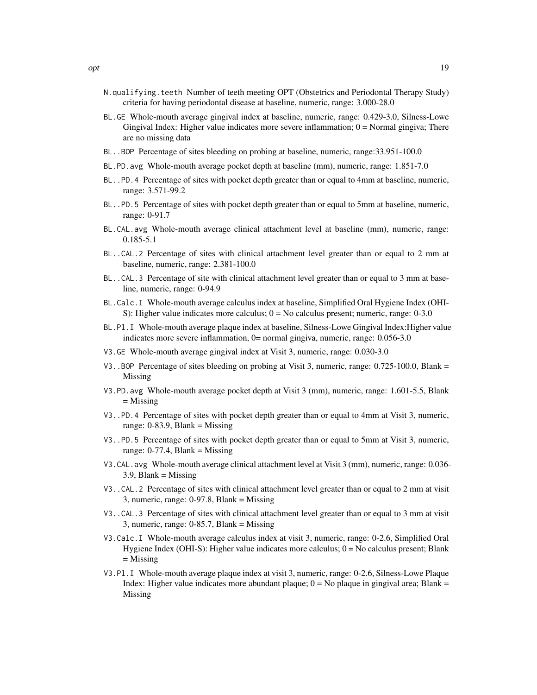- N.qualifying.teeth Number of teeth meeting OPT (Obstetrics and Periodontal Therapy Study) criteria for having periodontal disease at baseline, numeric, range: 3.000-28.0
- BL.GE Whole-mouth average gingival index at baseline, numeric, range: 0.429-3.0, Silness-Lowe Gingival Index: Higher value indicates more severe inflammation; 0 = Normal gingiva; There are no missing data
- BL..BOP Percentage of sites bleeding on probing at baseline, numeric, range:33.951-100.0
- BL.PD.avg Whole-mouth average pocket depth at baseline (mm), numeric, range: 1.851-7.0
- BL..PD.4 Percentage of sites with pocket depth greater than or equal to 4mm at baseline, numeric, range: 3.571-99.2
- BL..PD.5 Percentage of sites with pocket depth greater than or equal to 5mm at baseline, numeric, range: 0-91.7
- BL.CAL.avg Whole-mouth average clinical attachment level at baseline (mm), numeric, range: 0.185-5.1
- BL..CAL.2 Percentage of sites with clinical attachment level greater than or equal to 2 mm at baseline, numeric, range: 2.381-100.0
- BL..CAL.3 Percentage of site with clinical attachment level greater than or equal to 3 mm at baseline, numeric, range: 0-94.9
- BL.Calc.I Whole-mouth average calculus index at baseline, Simplified Oral Hygiene Index (OHI-S): Higher value indicates more calculus;  $0 = No$  calculus present; numeric, range: 0-3.0
- BL.Pl.I Whole-mouth average plaque index at baseline, Silness-Lowe Gingival Index:Higher value indicates more severe inflammation, 0= normal gingiva, numeric, range: 0.056-3.0
- V3.GE Whole-mouth average gingival index at Visit 3, numeric, range: 0.030-3.0
- V3..BOP Percentage of sites bleeding on probing at Visit 3, numeric, range: 0.725-100.0, Blank = Missing
- V3.PD.avg Whole-mouth average pocket depth at Visit 3 (mm), numeric, range: 1.601-5.5, Blank = Missing
- V3..PD.4 Percentage of sites with pocket depth greater than or equal to 4mm at Visit 3, numeric, range:  $0-83.9$ , Blank = Missing
- V3..PD.5 Percentage of sites with pocket depth greater than or equal to 5mm at Visit 3, numeric, range:  $0-77.4$ , Blank = Missing
- V3.CAL.avg Whole-mouth average clinical attachment level at Visit 3 (mm), numeric, range: 0.036-  $3.9$ , Blank = Missing
- V3..CAL.2 Percentage of sites with clinical attachment level greater than or equal to 2 mm at visit 3, numeric, range: 0-97.8, Blank = Missing
- V3..CAL.3 Percentage of sites with clinical attachment level greater than or equal to 3 mm at visit 3, numeric, range: 0-85.7, Blank = Missing
- V3.Calc.I Whole-mouth average calculus index at visit 3, numeric, range: 0-2.6, Simplified Oral Hygiene Index (OHI-S): Higher value indicates more calculus; 0 = No calculus present; Blank  $=$  Missing
- V3.Pl.I Whole-mouth average plaque index at visit 3, numeric, range: 0-2.6, Silness-Lowe Plaque Index: Higher value indicates more abundant plaque;  $0 = No$  plaque in gingival area; Blank = Missing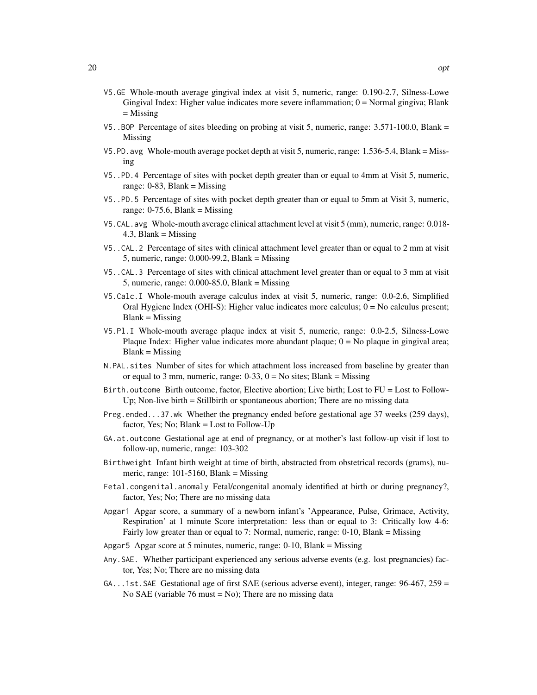- V5.GE Whole-mouth average gingival index at visit 5, numeric, range: 0.190-2.7, Silness-Lowe Gingival Index: Higher value indicates more severe inflammation; 0 = Normal gingiva; Blank = Missing
- V5..BOP Percentage of sites bleeding on probing at visit 5, numeric, range: 3.571-100.0, Blank = Missing
- V5.PD.avg Whole-mouth average pocket depth at visit 5, numeric, range: 1.536-5.4, Blank = Missing
- V5..PD.4 Percentage of sites with pocket depth greater than or equal to 4mm at Visit 5, numeric, range:  $0-83$ , Blank = Missing
- V5..PD.5 Percentage of sites with pocket depth greater than or equal to 5mm at Visit 3, numeric, range:  $0-75.6$ , Blank = Missing
- V5.CAL.avg Whole-mouth average clinical attachment level at visit 5 (mm), numeric, range: 0.018-  $4.3$ , Blank = Missing
- V5..CAL.2 Percentage of sites with clinical attachment level greater than or equal to 2 mm at visit 5, numeric, range: 0.000-99.2, Blank = Missing
- V5..CAL.3 Percentage of sites with clinical attachment level greater than or equal to 3 mm at visit 5, numeric, range: 0.000-85.0, Blank = Missing
- V5.Calc.I Whole-mouth average calculus index at visit 5, numeric, range: 0.0-2.6, Simplified Oral Hygiene Index (OHI-S): Higher value indicates more calculus;  $0 = No$  calculus present;  $Blank = Missing$
- V5.Pl.I Whole-mouth average plaque index at visit 5, numeric, range: 0.0-2.5, Silness-Lowe Plaque Index: Higher value indicates more abundant plaque;  $0 = No$  plaque in gingival area;  $Blank = Missing$
- N.PAL.sites Number of sites for which attachment loss increased from baseline by greater than or equal to 3 mm, numeric, range:  $0-33$ ,  $0 =$  No sites; Blank = Missing
- Birth.outcome Birth outcome, factor, Elective abortion; Live birth; Lost to FU = Lost to Follow-Up; Non-live birth = Stillbirth or spontaneous abortion; There are no missing data
- Preg.ended...37.wk Whether the pregnancy ended before gestational age 37 weeks (259 days), factor, Yes; No; Blank = Lost to Follow-Up
- GA.at.outcome Gestational age at end of pregnancy, or at mother's last follow-up visit if lost to follow-up, numeric, range: 103-302
- Birthweight Infant birth weight at time of birth, abstracted from obstetrical records (grams), numeric, range: 101-5160, Blank = Missing
- Fetal.congenital.anomaly Fetal/congenital anomaly identified at birth or during pregnancy?, factor, Yes; No; There are no missing data
- Apgar1 Apgar score, a summary of a newborn infant's 'Appearance, Pulse, Grimace, Activity, Respiration' at 1 minute Score interpretation: less than or equal to 3: Critically low 4-6: Fairly low greater than or equal to 7: Normal, numeric, range: 0-10, Blank = Missing
- Apgar5 Apgar score at 5 minutes, numeric, range: 0-10, Blank = Missing
- Any.SAE. Whether participant experienced any serious adverse events (e.g. lost pregnancies) factor, Yes; No; There are no missing data
- GA...1st.SAE Gestational age of first SAE (serious adverse event), integer, range: 96-467, 259 = No SAE (variable 76 must = No); There are no missing data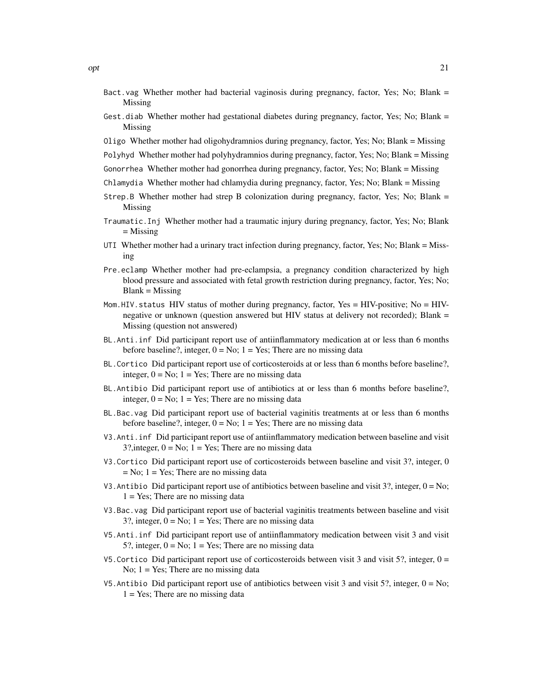- Bact.vag Whether mother had bacterial vaginosis during pregnancy, factor, Yes; No; Blank = Missing
- Gest.diab Whether mother had gestational diabetes during pregnancy, factor, Yes; No; Blank = Missing
- Oligo Whether mother had oligohydramnios during pregnancy, factor, Yes; No; Blank = Missing
- Polyhyd Whether mother had polyhydramnios during pregnancy, factor, Yes; No; Blank = Missing
- Gonorrhea Whether mother had gonorrhea during pregnancy, factor, Yes; No; Blank = Missing
- Chlamydia Whether mother had chlamydia during pregnancy, factor, Yes; No; Blank = Missing
- Strep.B Whether mother had strep B colonization during pregnancy, factor, Yes; No; Blank = Missing
- Traumatic.Inj Whether mother had a traumatic injury during pregnancy, factor, Yes; No; Blank = Missing
- UTI Whether mother had a urinary tract infection during pregnancy, factor, Yes; No; Blank = Missing
- Pre.eclamp Whether mother had pre-eclampsia, a pregnancy condition characterized by high blood pressure and associated with fetal growth restriction during pregnancy, factor, Yes; No;  $Blank = Missing$
- Mom.HIV. status HIV status of mother during pregnancy, factor, Yes = HIV-positive; No = HIVnegative or unknown (question answered but HIV status at delivery not recorded); Blank = Missing (question not answered)
- BL.Anti.inf Did participant report use of antiinflammatory medication at or less than 6 months before baseline?, integer,  $0 = No$ ;  $1 = Yes$ ; There are no missing data
- BL.Cortico Did participant report use of corticosteroids at or less than 6 months before baseline?, integer,  $0 = No$ ;  $1 = Yes$ ; There are no missing data
- BL.Antibio Did participant report use of antibiotics at or less than 6 months before baseline?, integer,  $0 = No$ ;  $1 = Yes$ ; There are no missing data
- BL.Bac.vag Did participant report use of bacterial vaginitis treatments at or less than 6 months before baseline?, integer,  $0 = No$ ;  $1 = Yes$ ; There are no missing data
- V3.Anti.inf Did participant report use of antiinflammatory medication between baseline and visit 3?, integer,  $0 = No$ ;  $1 = Yes$ ; There are no missing data
- V3.Cortico Did participant report use of corticosteroids between baseline and visit 3?, integer, 0  $=$  No;  $1 =$  Yes; There are no missing data
- V3. Antibio Did participant report use of antibiotics between baseline and visit 3?, integer,  $0 = No$ ;  $1 = Yes$ ; There are no missing data
- V3.Bac.vag Did participant report use of bacterial vaginitis treatments between baseline and visit 3?, integer,  $0 = No$ ;  $1 = Yes$ ; There are no missing data
- V5.Anti.inf Did participant report use of antiinflammatory medication between visit 3 and visit 5?, integer,  $0 = No$ ;  $1 = Yes$ ; There are no missing data
- V5. Cortico Did participant report use of corticosteroids between visit 3 and visit 5?, integer,  $0 =$ No;  $1 = Yes$ ; There are no missing data
- V5. Antibio Did participant report use of antibiotics between visit 3 and visit 5?, integer,  $0 = No$ ;  $1 = Yes$ ; There are no missing data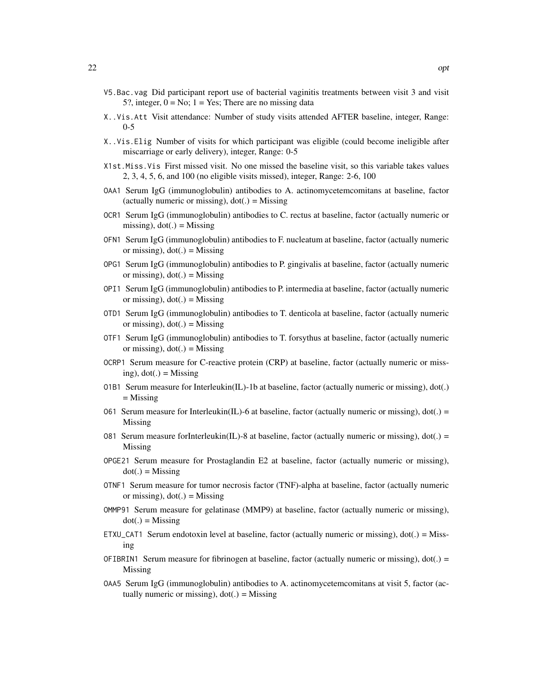- V5.Bac.vag Did participant report use of bacterial vaginitis treatments between visit 3 and visit 5?, integer,  $0 = No$ ;  $1 = Yes$ ; There are no missing data
- X..Vis.Att Visit attendance: Number of study visits attended AFTER baseline, integer, Range: 0-5
- X..Vis.Elig Number of visits for which participant was eligible (could become ineligible after miscarriage or early delivery), integer, Range: 0-5
- X1st.Miss.Vis First missed visit. No one missed the baseline visit, so this variable takes values 2, 3, 4, 5, 6, and 100 (no eligible visits missed), integer, Range: 2-6, 100
- OAA1 Serum IgG (immunoglobulin) antibodies to A. actinomycetemcomitans at baseline, factor (actually numeric or missing),  $dot(.) =$  Missing
- OCR1 Serum IgG (immunoglobulin) antibodies to C. rectus at baseline, factor (actually numeric or missing),  $dot(.) =$  Missing
- OFN1 Serum IgG (immunoglobulin) antibodies to F. nucleatum at baseline, factor (actually numeric or missing),  $dot(.) =$  Missing
- OPG1 Serum IgG (immunoglobulin) antibodies to P. gingivalis at baseline, factor (actually numeric or missing),  $dot(.) =$  Missing
- OPI1 Serum IgG (immunoglobulin) antibodies to P. intermedia at baseline, factor (actually numeric or missing),  $dot(.) =$  Missing
- OTD1 Serum IgG (immunoglobulin) antibodies to T. denticola at baseline, factor (actually numeric or missing),  $dot(.) =$  Missing
- OTF1 Serum IgG (immunoglobulin) antibodies to T. forsythus at baseline, factor (actually numeric or missing),  $dot(.) =$  Missing
- OCRP1 Serum measure for C-reactive protein (CRP) at baseline, factor (actually numeric or missing),  $dot(.) =$  Missing
- 01B1 Serum measure for Interleukin(IL)-1b at baseline, factor (actually numeric or missing),  $dot(.)$  $=$  Missing
- 061 Serum measure for Interleukin(IL)-6 at baseline, factor (actually numeric or missing),  $dot(.) =$ Missing
- 081 Serum measure forInterleukin(IL)-8 at baseline, factor (actually numeric or missing),  $dot(.) =$ Missing
- OPGE21 Serum measure for Prostaglandin E2 at baseline, factor (actually numeric or missing),  $dot(.) =$  Missing
- OTNF1 Serum measure for tumor necrosis factor (TNF)-alpha at baseline, factor (actually numeric or missing),  $dot(.) =$  Missing
- OMMP91 Serum measure for gelatinase (MMP9) at baseline, factor (actually numeric or missing),  $dot(.) =$  Missing
- ETXU\_CAT1 Serum endotoxin level at baseline, factor (actually numeric or missing), dot(.) = Missing
- OFIBRIN1 Serum measure for fibrinogen at baseline, factor (actually numeric or missing),  $dot(.) =$ Missing
- OAA5 Serum IgG (immunoglobulin) antibodies to A. actinomycetemcomitans at visit 5, factor (actually numeric or missing),  $dot(.) =$  Missing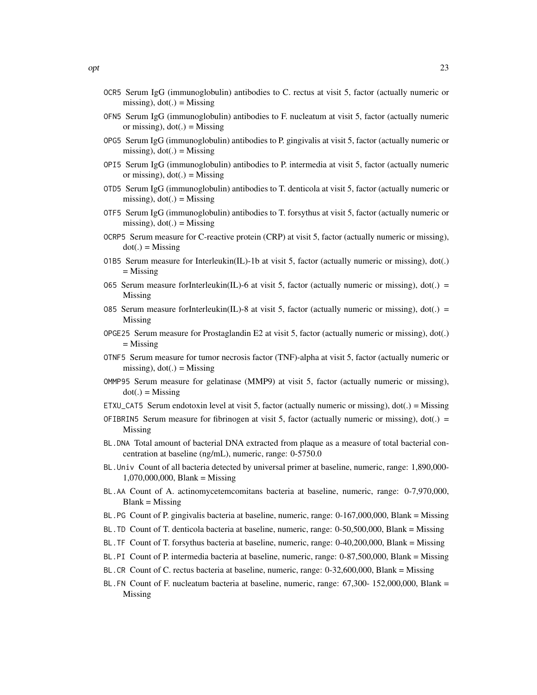- OCR5 Serum IgG (immunoglobulin) antibodies to C. rectus at visit 5, factor (actually numeric or missing),  $dot(.) =$  Missing
- OFN5 Serum IgG (immunoglobulin) antibodies to F. nucleatum at visit 5, factor (actually numeric or missing),  $dot(.) =$  Missing
- OPG5 Serum IgG (immunoglobulin) antibodies to P. gingivalis at visit 5, factor (actually numeric or missing),  $dot(.) =$  Missing
- OPI5 Serum IgG (immunoglobulin) antibodies to P. intermedia at visit 5, factor (actually numeric or missing),  $dot(.) =$  Missing
- OTD5 Serum IgG (immunoglobulin) antibodies to T. denticola at visit 5, factor (actually numeric or missing),  $dot(.)$  = Missing
- OTF5 Serum IgG (immunoglobulin) antibodies to T. forsythus at visit 5, factor (actually numeric or missing),  $dot(.) =$  Missing
- OCRP5 Serum measure for C-reactive protein (CRP) at visit 5, factor (actually numeric or missing),  $dot(.) =$ Missing
- 01B5 Serum measure for Interleukin(IL)-1b at visit 5, factor (actually numeric or missing),  $dot(.)$ = Missing
- 065 Serum measure forInterleukin(IL)-6 at visit 5, factor (actually numeric or missing),  $dot(.) =$ Missing
- 085 Serum measure forInterleukin(IL)-8 at visit 5, factor (actually numeric or missing),  $dot(.) =$ Missing
- OPGE25 Serum measure for Prostaglandin E2 at visit 5, factor (actually numeric or missing), dot(.) = Missing
- OTNF5 Serum measure for tumor necrosis factor (TNF)-alpha at visit 5, factor (actually numeric or missing),  $dot(.) =$ Missing
- OMMP95 Serum measure for gelatinase (MMP9) at visit 5, factor (actually numeric or missing),  $dot(.) =$ Missing
- ETXU\_CAT5 Serum endotoxin level at visit 5, factor (actually numeric or missing), dot(.) = Missing
- OFIBRIN5 Serum measure for fibrinogen at visit 5, factor (actually numeric or missing),  $dot(.) =$ Missing
- BL.DNA Total amount of bacterial DNA extracted from plaque as a measure of total bacterial concentration at baseline (ng/mL), numeric, range: 0-5750.0
- BL.Univ Count of all bacteria detected by universal primer at baseline, numeric, range: 1,890,000- 1,070,000,000, Blank = Missing
- BL.AA Count of A. actinomycetemcomitans bacteria at baseline, numeric, range: 0-7,970,000,  $Blank = Missing$
- BL.PG Count of P. gingivalis bacteria at baseline, numeric, range: 0-167,000,000, Blank = Missing
- BL.TD Count of T. denticola bacteria at baseline, numeric, range: 0-50,500,000, Blank = Missing
- BL.TF Count of T. forsythus bacteria at baseline, numeric, range: 0-40,200,000, Blank = Missing
- BL.PI Count of P. intermedia bacteria at baseline, numeric, range: 0-87,500,000, Blank = Missing
- BL.CR Count of C. rectus bacteria at baseline, numeric, range: 0-32,600,000, Blank = Missing
- BL.FN Count of F. nucleatum bacteria at baseline, numeric, range: 67,300- 152,000,000, Blank = Missing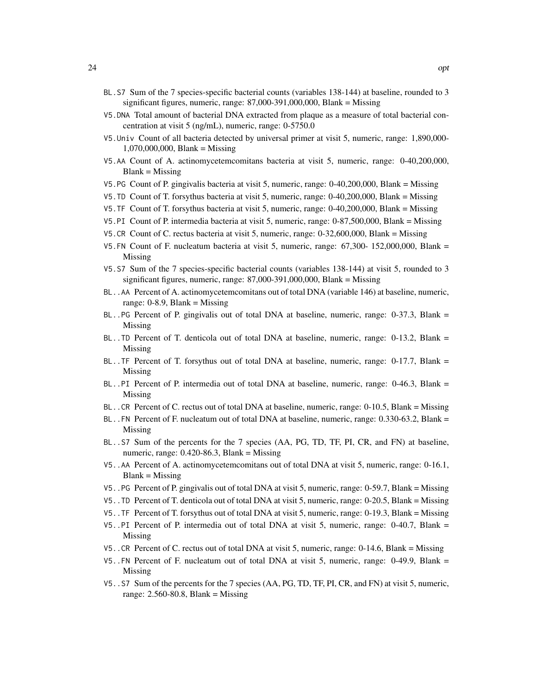- BL.S7 Sum of the 7 species-specific bacterial counts (variables 138-144) at baseline, rounded to 3 significant figures, numeric, range: 87,000-391,000,000, Blank = Missing
- V5.DNA Total amount of bacterial DNA extracted from plaque as a measure of total bacterial concentration at visit 5 (ng/mL), numeric, range: 0-5750.0
- V5.Univ Count of all bacteria detected by universal primer at visit 5, numeric, range: 1,890,000- 1,070,000,000, Blank = Missing
- V5.AA Count of A. actinomycetemcomitans bacteria at visit 5, numeric, range: 0-40,200,000,  $Blank = Missing$
- V5.PG Count of P. gingivalis bacteria at visit 5, numeric, range: 0-40,200,000, Blank = Missing
- V5.TD Count of T. forsythus bacteria at visit 5, numeric, range: 0-40,200,000, Blank = Missing
- V5.TF Count of T. forsythus bacteria at visit 5, numeric, range: 0-40,200,000, Blank = Missing
- V5.PI Count of P. intermedia bacteria at visit 5, numeric, range: 0-87,500,000, Blank = Missing
- V5.CR Count of C. rectus bacteria at visit 5, numeric, range: 0-32,600,000, Blank = Missing
- V5.FN Count of F. nucleatum bacteria at visit 5, numeric, range: 67,300- 152,000,000, Blank = Missing
- V5.S7 Sum of the 7 species-specific bacterial counts (variables 138-144) at visit 5, rounded to 3 significant figures, numeric, range: 87,000-391,000,000, Blank = Missing
- BL..AA Percent of A. actinomycetemcomitans out of total DNA (variable 146) at baseline, numeric, range:  $0-8.9$ , Blank = Missing
- BL..PG Percent of P. gingivalis out of total DNA at baseline, numeric, range: 0-37.3, Blank = Missing
- BL..TD Percent of T. denticola out of total DNA at baseline, numeric, range: 0-13.2, Blank = Missing
- BL..TF Percent of T. forsythus out of total DNA at baseline, numeric, range: 0-17.7, Blank = Missing
- BL..PI Percent of P. intermedia out of total DNA at baseline, numeric, range: 0-46.3, Blank = Missing
- BL..CR Percent of C. rectus out of total DNA at baseline, numeric, range: 0-10.5, Blank = Missing
- BL..FN Percent of F. nucleatum out of total DNA at baseline, numeric, range: 0.330-63.2, Blank = Missing
- BL..S7 Sum of the percents for the 7 species (AA, PG, TD, TF, PI, CR, and FN) at baseline, numeric, range:  $0.420 - 86.3$ , Blank = Missing
- V5..AA Percent of A. actinomycetemcomitans out of total DNA at visit 5, numeric, range: 0-16.1,  $Blank = Missing$
- V5..PG Percent of P. gingivalis out of total DNA at visit 5, numeric, range: 0-59.7, Blank = Missing
- V5..TD Percent of T. denticola out of total DNA at visit 5, numeric, range: 0-20.5, Blank = Missing
- V5..TF Percent of T. forsythus out of total DNA at visit 5, numeric, range: 0-19.3, Blank = Missing
- V5..PI Percent of P. intermedia out of total DNA at visit 5, numeric, range: 0-40.7, Blank = Missing
- V5..CR Percent of C. rectus out of total DNA at visit 5, numeric, range: 0-14.6, Blank = Missing
- V5..FN Percent of F. nucleatum out of total DNA at visit 5, numeric, range: 0-49.9, Blank = Missing
- V5..S7 Sum of the percents for the 7 species (AA, PG, TD, TF, PI, CR, and FN) at visit 5, numeric, range: 2.560-80.8, Blank = Missing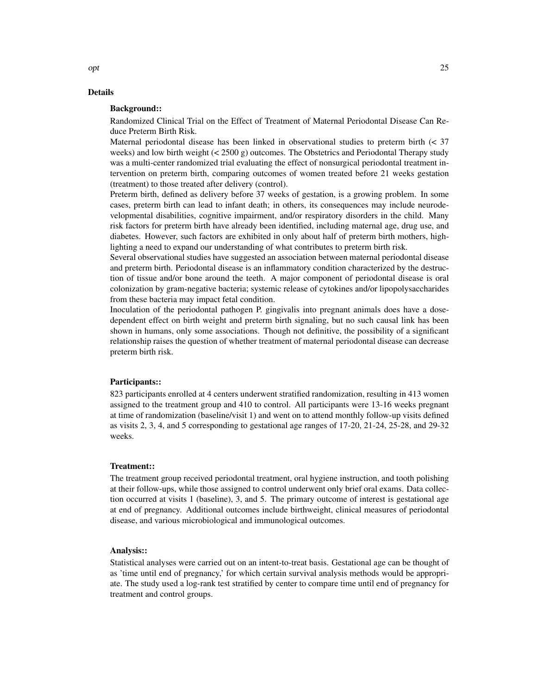#### Background::

Randomized Clinical Trial on the Effect of Treatment of Maternal Periodontal Disease Can Reduce Preterm Birth Risk.

Maternal periodontal disease has been linked in observational studies to preterm birth (< 37 weeks) and low birth weight  $( $2500 \text{ g}$ )$  outcomes. The Obstetrics and Periodontal Therapy study was a multi-center randomized trial evaluating the effect of nonsurgical periodontal treatment intervention on preterm birth, comparing outcomes of women treated before 21 weeks gestation (treatment) to those treated after delivery (control).

Preterm birth, defined as delivery before 37 weeks of gestation, is a growing problem. In some cases, preterm birth can lead to infant death; in others, its consequences may include neurodevelopmental disabilities, cognitive impairment, and/or respiratory disorders in the child. Many risk factors for preterm birth have already been identified, including maternal age, drug use, and diabetes. However, such factors are exhibited in only about half of preterm birth mothers, highlighting a need to expand our understanding of what contributes to preterm birth risk.

Several observational studies have suggested an association between maternal periodontal disease and preterm birth. Periodontal disease is an inflammatory condition characterized by the destruction of tissue and/or bone around the teeth. A major component of periodontal disease is oral colonization by gram-negative bacteria; systemic release of cytokines and/or lipopolysaccharides from these bacteria may impact fetal condition.

Inoculation of the periodontal pathogen P. gingivalis into pregnant animals does have a dosedependent effect on birth weight and preterm birth signaling, but no such causal link has been shown in humans, only some associations. Though not definitive, the possibility of a significant relationship raises the question of whether treatment of maternal periodontal disease can decrease preterm birth risk.

#### Participants::

823 participants enrolled at 4 centers underwent stratified randomization, resulting in 413 women assigned to the treatment group and 410 to control. All participants were 13-16 weeks pregnant at time of randomization (baseline/visit 1) and went on to attend monthly follow-up visits defined as visits 2, 3, 4, and 5 corresponding to gestational age ranges of 17-20, 21-24, 25-28, and 29-32 weeks.

#### Treatment::

The treatment group received periodontal treatment, oral hygiene instruction, and tooth polishing at their follow-ups, while those assigned to control underwent only brief oral exams. Data collection occurred at visits 1 (baseline), 3, and 5. The primary outcome of interest is gestational age at end of pregnancy. Additional outcomes include birthweight, clinical measures of periodontal disease, and various microbiological and immunological outcomes.

#### Analysis::

Statistical analyses were carried out on an intent-to-treat basis. Gestational age can be thought of as 'time until end of pregnancy,' for which certain survival analysis methods would be appropriate. The study used a log-rank test stratified by center to compare time until end of pregnancy for treatment and control groups.

opt 25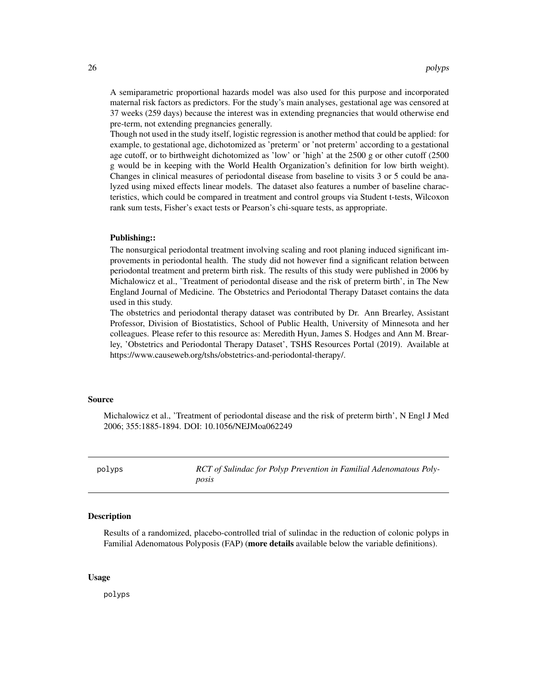<span id="page-25-0"></span>A semiparametric proportional hazards model was also used for this purpose and incorporated maternal risk factors as predictors. For the study's main analyses, gestational age was censored at 37 weeks (259 days) because the interest was in extending pregnancies that would otherwise end pre-term, not extending pregnancies generally.

Though not used in the study itself, logistic regression is another method that could be applied: for example, to gestational age, dichotomized as 'preterm' or 'not preterm' according to a gestational age cutoff, or to birthweight dichotomized as 'low' or 'high' at the 2500 g or other cutoff (2500 g would be in keeping with the World Health Organization's definition for low birth weight). Changes in clinical measures of periodontal disease from baseline to visits 3 or 5 could be analyzed using mixed effects linear models. The dataset also features a number of baseline characteristics, which could be compared in treatment and control groups via Student t-tests, Wilcoxon rank sum tests, Fisher's exact tests or Pearson's chi-square tests, as appropriate.

#### Publishing::

The nonsurgical periodontal treatment involving scaling and root planing induced significant improvements in periodontal health. The study did not however find a significant relation between periodontal treatment and preterm birth risk. The results of this study were published in 2006 by Michalowicz et al., 'Treatment of periodontal disease and the risk of preterm birth', in The New England Journal of Medicine. The Obstetrics and Periodontal Therapy Dataset contains the data used in this study.

The obstetrics and periodontal therapy dataset was contributed by Dr. Ann Brearley, Assistant Professor, Division of Biostatistics, School of Public Health, University of Minnesota and her colleagues. Please refer to this resource as: Meredith Hyun, James S. Hodges and Ann M. Brearley, 'Obstetrics and Periodontal Therapy Dataset', TSHS Resources Portal (2019). Available at https://www.causeweb.org/tshs/obstetrics-and-periodontal-therapy/.

#### Source

Michalowicz et al., 'Treatment of periodontal disease and the risk of preterm birth', N Engl J Med 2006; 355:1885-1894. DOI: 10.1056/NEJMoa062249

polyps *RCT of Sulindac for Polyp Prevention in Familial Adenomatous Polyposis*

#### Description

Results of a randomized, placebo-controlled trial of sulindac in the reduction of colonic polyps in Familial Adenomatous Polyposis (FAP) (more details available below the variable definitions).

#### Usage

polyps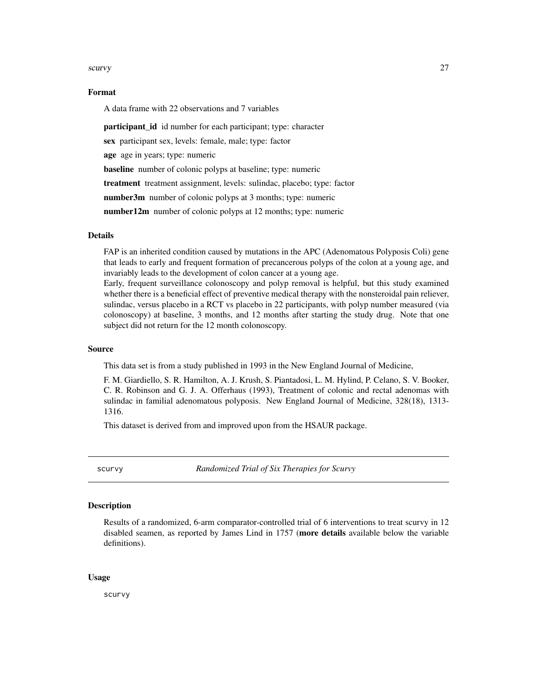#### <span id="page-26-0"></span>scurvy 27

#### Format

A data frame with 22 observations and 7 variables

**participant\_id** id number for each participant; type: character

sex participant sex, levels: female, male; type: factor

age age in years; type: numeric

baseline number of colonic polyps at baseline; type: numeric

treatment treatment assignment, levels: sulindac, placebo; type: factor

number3m number of colonic polyps at 3 months; type: numeric

number12m number of colonic polyps at 12 months; type: numeric

#### Details

FAP is an inherited condition caused by mutations in the APC (Adenomatous Polyposis Coli) gene that leads to early and frequent formation of precancerous polyps of the colon at a young age, and invariably leads to the development of colon cancer at a young age.

Early, frequent surveillance colonoscopy and polyp removal is helpful, but this study examined whether there is a beneficial effect of preventive medical therapy with the nonsteroidal pain reliever, sulindac, versus placebo in a RCT vs placebo in 22 participants, with polyp number measured (via colonoscopy) at baseline, 3 months, and 12 months after starting the study drug. Note that one subject did not return for the 12 month colonoscopy.

#### Source

This data set is from a study published in 1993 in the New England Journal of Medicine,

F. M. Giardiello, S. R. Hamilton, A. J. Krush, S. Piantadosi, L. M. Hylind, P. Celano, S. V. Booker, C. R. Robinson and G. J. A. Offerhaus (1993), Treatment of colonic and rectal adenomas with sulindac in familial adenomatous polyposis. New England Journal of Medicine, 328(18), 1313- 1316.

This dataset is derived from and improved upon from the HSAUR package.

scurvy *Randomized Trial of Six Therapies for Scurvy*

### Description

Results of a randomized, 6-arm comparator-controlled trial of 6 interventions to treat scurvy in 12 disabled seamen, as reported by James Lind in 1757 (more details available below the variable definitions).

#### Usage

scurvy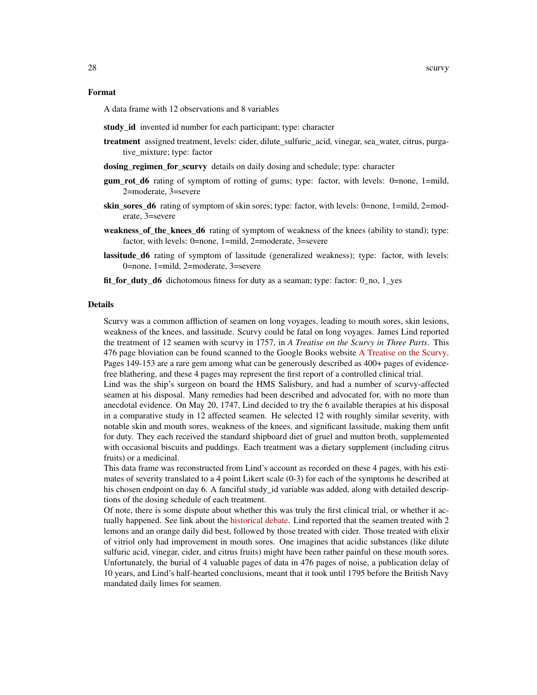#### Format

A data frame with 12 observations and 8 variables

- study\_id invented id number for each participant; type: character
- treatment assigned treatment, levels: cider, dilute sulfuric acid, vinegar, sea water, citrus, purgative\_mixture; type: factor
- dosing regimen for scurvy details on daily dosing and schedule; type: character
- **gum rot d6** rating of symptom of rotting of gums; type: factor, with levels:  $0$ =none, 1=mild, 2=moderate, 3=severe
- **skin** sores  $d6$  rating of symptom of skin sores; type: factor, with levels: 0=none, 1=mild, 2=moderate, 3=severe
- weakness\_of\_the\_knees\_d6 rating of symptom of weakness of the knees (ability to stand); type: factor, with levels: 0=none, 1=mild, 2=moderate, 3=severe
- lassitude\_d6 rating of symptom of lassitude (generalized weakness); type: factor, with levels: 0=none, 1=mild, 2=moderate, 3=severe
- fit\_for\_duty\_d6 dichotomous fitness for duty as a seaman; type: factor: 0\_no, 1\_yes

#### Details

Scurvy was a common affliction of seamen on long voyages, leading to mouth sores, skin lesions, weakness of the knees, and lassitude. Scurvy could be fatal on long voyages. James Lind reported the treatment of 12 seamen with scurvy in 1757, in *A Treatise on the Scurvy in Three Parts*. This 476 page bloviation can be found scanned to the Google Books website [A Treatise on the Scurvy.](https://www.google.com/books/edition/A_Treatise_on_the_Scurvy/oP1UEXWU7fsC?hl=en&gbpv=1&printsec=frontcover) Pages 149-153 are a rare gem among what can be generously described as 400+ pages of evidencefree blathering, and these 4 pages may represent the first report of a controlled clinical trial.

Lind was the ship's surgeon on board the HMS Salisbury, and had a number of scurvy-affected seamen at his disposal. Many remedies had been described and advocated for, with no more than anecdotal evidence. On May 20, 1747, Lind decided to try the 6 available therapies at his disposal in a comparative study in 12 affected seamen. He selected 12 with roughly similar severity, with notable skin and mouth sores, weakness of the knees, and significant lassitude, making them unfit for duty. They each received the standard shipboard diet of gruel and mutton broth, supplemented with occasional biscuits and puddings. Each treatment was a dietary supplement (including citrus fruits) or a medicinal.

This data frame was reconstructed from Lind's account as recorded on these 4 pages, with his estimates of severity translated to a 4 point Likert scale (0-3) for each of the symptoms he described at his chosen endpoint on day 6. A fanciful study\_id variable was added, along with detailed descriptions of the dosing schedule of each treatment.

Of note, there is some dispute about whether this was truly the first clinical trial, or whether it actually happened. See link about the [historical debate.](https://www.bbvaopenmind.com/en/science/leading-figures/james-lind-and-scurvy-the-first-clinical-trial-in-history/) Lind reported that the seamen treated with 2 lemons and an orange daily did best, followed by those treated with cider. Those treated with elixir of vitriol only had improvement in mouth sores. One imagines that acidic substances (like dilute sulfuric acid, vinegar, cider, and citrus fruits) might have been rather painful on these mouth sores. Unfortunately, the burial of 4 valuable pages of data in 476 pages of noise, a publication delay of 10 years, and Lind's half-hearted conclusions, meant that it took until 1795 before the British Navy mandated daily limes for seamen.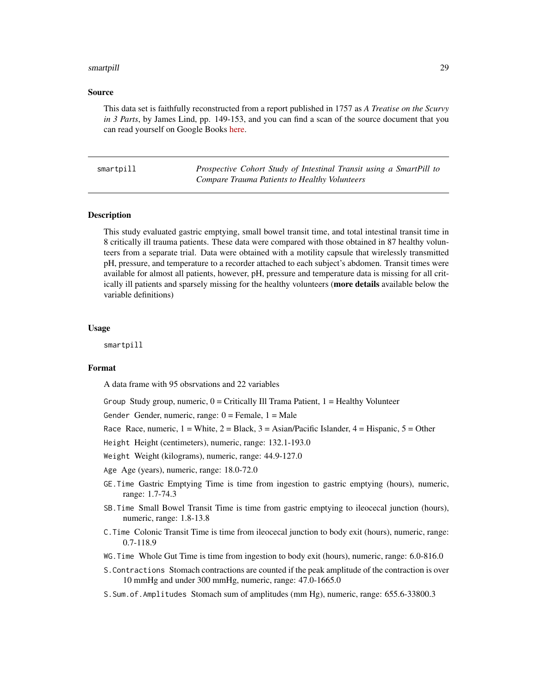#### <span id="page-28-0"></span>smartpill 29

#### Source

This data set is faithfully reconstructed from a report published in 1757 as *A Treatise on the Scurvy in 3 Parts*, by James Lind, pp. 149-153, and you can find a scan of the source document that you can read yourself on Google Books [here.](https://www.google.com/books/edition/A_Treatise_on_the_Scurvy/oP1UEXWU7fsC?hl=en&gbpv=1&printsec=frontcover)

| smartpill |  |  |
|-----------|--|--|
|           |  |  |
|           |  |  |

Prospective Cohort Study of Intestinal Transit using a SmartPill to *Compare Trauma Patients to Healthy Volunteers*

#### Description

This study evaluated gastric emptying, small bowel transit time, and total intestinal transit time in 8 critically ill trauma patients. These data were compared with those obtained in 87 healthy volunteers from a separate trial. Data were obtained with a motility capsule that wirelessly transmitted pH, pressure, and temperature to a recorder attached to each subject's abdomen. Transit times were available for almost all patients, however, pH, pressure and temperature data is missing for all critically ill patients and sparsely missing for the healthy volunteers (more details available below the variable definitions)

#### Usage

smartpill

#### Format

A data frame with 95 obsrvations and 22 variables

Group Study group, numeric,  $0 =$  Critically Ill Trama Patient,  $1 =$  Healthy Volunteer

Gender Gender, numeric, range:  $0 =$  Female,  $1 =$  Male

Race Race, numeric,  $1 =$  White,  $2 =$  Black,  $3 =$  Asian/Pacific Islander,  $4 =$  Hispanic,  $5 =$  Other

Height Height (centimeters), numeric, range: 132.1-193.0

- Weight Weight (kilograms), numeric, range: 44.9-127.0
- Age Age (years), numeric, range: 18.0-72.0
- GE.Time Gastric Emptying Time is time from ingestion to gastric emptying (hours), numeric, range: 1.7-74.3
- SB.Time Small Bowel Transit Time is time from gastric emptying to ileocecal junction (hours), numeric, range: 1.8-13.8
- C.Time Colonic Transit Time is time from ileocecal junction to body exit (hours), numeric, range: 0.7-118.9
- WG.Time Whole Gut Time is time from ingestion to body exit (hours), numeric, range: 6.0-816.0
- S.Contractions Stomach contractions are counted if the peak amplitude of the contraction is over 10 mmHg and under 300 mmHg, numeric, range: 47.0-1665.0
- S.Sum.of.Amplitudes Stomach sum of amplitudes (mm Hg), numeric, range: 655.6-33800.3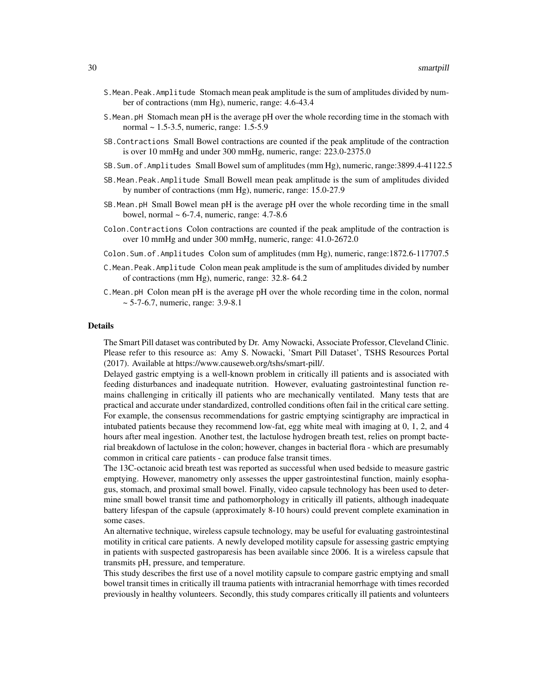- S.Mean.Peak.Amplitude Stomach mean peak amplitude is the sum of amplitudes divided by number of contractions (mm Hg), numeric, range: 4.6-43.4
- S.Mean.pH Stomach mean pH is the average pH over the whole recording time in the stomach with normal ~ 1.5-3.5, numeric, range: 1.5-5.9
- SB.Contractions Small Bowel contractions are counted if the peak amplitude of the contraction is over 10 mmHg and under 300 mmHg, numeric, range: 223.0-2375.0
- SB.Sum.of.Amplitudes Small Bowel sum of amplitudes (mm Hg), numeric, range:3899.4-41122.5
- SB.Mean.Peak.Amplitude Small Bowell mean peak amplitude is the sum of amplitudes divided by number of contractions (mm Hg), numeric, range: 15.0-27.9
- SB.Mean.pH Small Bowel mean pH is the average pH over the whole recording time in the small bowel, normal  $\sim 6-7.4$ , numeric, range: 4.7-8.6
- Colon.Contractions Colon contractions are counted if the peak amplitude of the contraction is over 10 mmHg and under 300 mmHg, numeric, range: 41.0-2672.0
- Colon.Sum.of.Amplitudes Colon sum of amplitudes (mm Hg), numeric, range:1872.6-117707.5
- C.Mean.Peak.Amplitude Colon mean peak amplitude is the sum of amplitudes divided by number of contractions (mm Hg), numeric, range: 32.8- 64.2
- C.Mean.pH Colon mean pH is the average pH over the whole recording time in the colon, normal ~ 5-7-6.7, numeric, range: 3.9-8.1

The Smart Pill dataset was contributed by Dr. Amy Nowacki, Associate Professor, Cleveland Clinic. Please refer to this resource as: Amy S. Nowacki, 'Smart Pill Dataset', TSHS Resources Portal (2017). Available at https://www.causeweb.org/tshs/smart-pill/.

Delayed gastric emptying is a well-known problem in critically ill patients and is associated with feeding disturbances and inadequate nutrition. However, evaluating gastrointestinal function remains challenging in critically ill patients who are mechanically ventilated. Many tests that are practical and accurate under standardized, controlled conditions often fail in the critical care setting. For example, the consensus recommendations for gastric emptying scintigraphy are impractical in intubated patients because they recommend low-fat, egg white meal with imaging at 0, 1, 2, and 4 hours after meal ingestion. Another test, the lactulose hydrogen breath test, relies on prompt bacterial breakdown of lactulose in the colon; however, changes in bacterial flora - which are presumably common in critical care patients - can produce false transit times.

The 13C-octanoic acid breath test was reported as successful when used bedside to measure gastric emptying. However, manometry only assesses the upper gastrointestinal function, mainly esophagus, stomach, and proximal small bowel. Finally, video capsule technology has been used to determine small bowel transit time and pathomorphology in critically ill patients, although inadequate battery lifespan of the capsule (approximately 8-10 hours) could prevent complete examination in some cases.

An alternative technique, wireless capsule technology, may be useful for evaluating gastrointestinal motility in critical care patients. A newly developed motility capsule for assessing gastric emptying in patients with suspected gastroparesis has been available since 2006. It is a wireless capsule that transmits pH, pressure, and temperature.

This study describes the first use of a novel motility capsule to compare gastric emptying and small bowel transit times in critically ill trauma patients with intracranial hemorrhage with times recorded previously in healthy volunteers. Secondly, this study compares critically ill patients and volunteers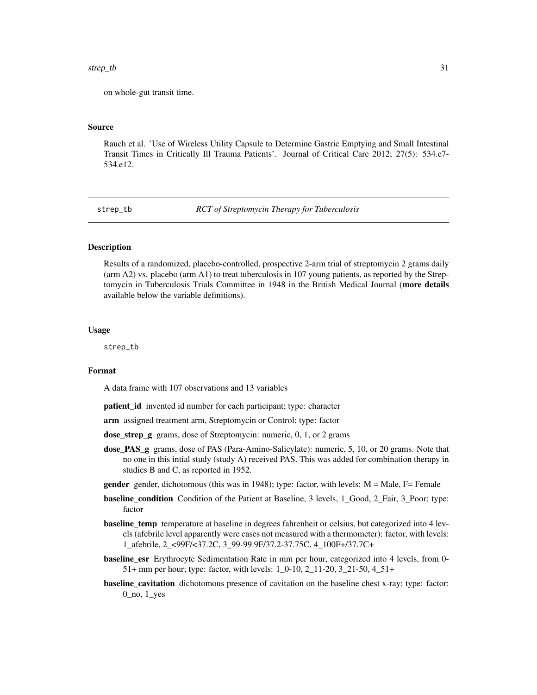#### <span id="page-30-0"></span>strep\_tb 31

on whole-gut transit time.

#### Source

Rauch et al. 'Use of Wireless Utility Capsule to Determine Gastric Emptying and Small Intestinal Transit Times in Critically Ill Trauma Patients'. Journal of Critical Care 2012; 27(5): 534.e7- 534.e12.

strep\_tb *RCT of Streptomycin Therapy for Tuberculosis*

#### **Description**

Results of a randomized, placebo-controlled, prospective 2-arm trial of streptomycin 2 grams daily (arm A2) vs. placebo (arm A1) to treat tuberculosis in 107 young patients, as reported by the Streptomycin in Tuberculosis Trials Committee in 1948 in the British Medical Journal (more details available below the variable definitions).

#### Usage

strep\_tb

### Format

A data frame with 107 observations and 13 variables

patient\_id invented id number for each participant; type: character

arm assigned treatment arm, Streptomycin or Control; type: factor

- dose\_strep\_g grams, dose of Streptomycin: numeric, 0, 1, or 2 grams
- dose\_PAS\_g grams, dose of PAS (Para-Amino-Salicylate): numeric, 5, 10, or 20 grams. Note that no one in this intial study (study A) received PAS. This was added for combination therapy in studies B and C, as reported in 1952.
- **gender** gender, dichotomous (this was in 1948); type: factor, with levels:  $M = Male$ ,  $F = Female$
- baseline\_condition Condition of the Patient at Baseline, 3 levels, 1\_Good, 2\_Fair, 3\_Poor; type: factor
- baseline\_temp temperature at baseline in degrees fahrenheit or celsius, but categorized into 4 levels (afebrile level apparently were cases not measured with a thermometer): factor, with levels: 1\_afebrile, 2\_<99F/<37.2C, 3\_99-99.9F/37.2-37.75C, 4\_100F+/37.7C+
- **baseline\_esr** Erythrocyte Sedimentation Rate in mm per hour, categorized into 4 levels, from 0-51+ mm per hour; type: factor, with levels: 1\_0-10, 2\_11-20, 3\_21-50, 4\_51+
- baseline\_cavitation dichotomous presence of cavitation on the baseline chest x-ray; type: factor: 0\_no, 1\_yes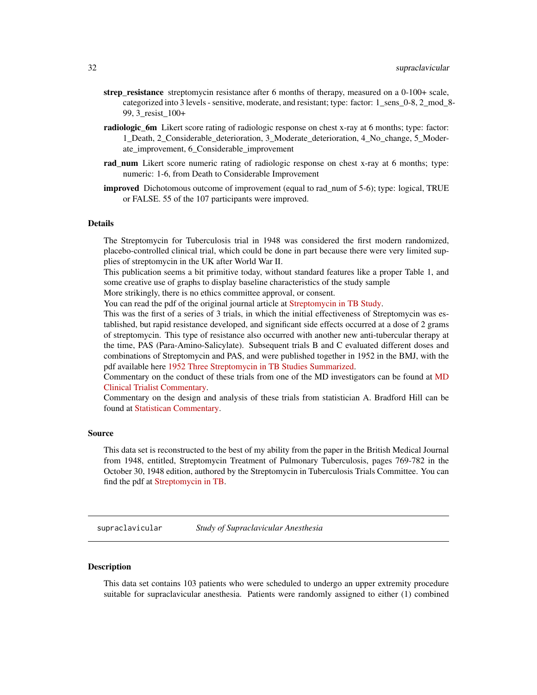- <span id="page-31-0"></span>strep\_resistance streptomycin resistance after 6 months of therapy, measured on a 0-100+ scale, categorized into 3 levels - sensitive, moderate, and resistant; type: factor: 1 sens  $0-8$ , 2 mod 8-99, 3\_resist\_100+
- radiologic 6m Likert score rating of radiologic response on chest x-ray at 6 months; type: factor: 1\_Death, 2\_Considerable\_deterioration, 3\_Moderate\_deterioration, 4\_No\_change, 5\_Moderate\_improvement, 6\_Considerable\_improvement
- rad\_num Likert score numeric rating of radiologic response on chest x-ray at 6 months; type: numeric: 1-6, from Death to Considerable Improvement
- **improved** Dichotomous outcome of improvement (equal to rad\_num of 5-6); type: logical, TRUE or FALSE. 55 of the 107 participants were improved.

The Streptomycin for Tuberculosis trial in 1948 was considered the first modern randomized, placebo-controlled clinical trial, which could be done in part because there were very limited supplies of streptomycin in the UK after World War II.

This publication seems a bit primitive today, without standard features like a proper Table 1, and some creative use of graphs to display baseline characteristics of the study sample

More strikingly, there is no ethics committee approval, or consent.

You can read the pdf of the original journal article at [Streptomycin in TB Study.](https://www.ncbi.nlm.nih.gov/pmc/articles/PMC2091872/pdf/brmedj03701-0007.pdf)

This was the first of a series of 3 trials, in which the initial effectiveness of Streptomycin was established, but rapid resistance developed, and significant side effects occurred at a dose of 2 grams of streptomycin. This type of resistance also occurred with another new anti-tubercular therapy at the time, PAS (Para-Amino-Salicylate). Subsequent trials B and C evaluated different doses and combinations of Streptomycin and PAS, and were published together in 1952 in the BMJ, with the pdf available here [1952 Three Streptomycin in TB Studies Summarized.](https://www.ncbi.nlm.nih.gov/pmc/articles/PMC2023677/pdf/brmedj03496-0024.pdf)

Commentary on the conduct of these trials from one of the MD investigators can be found at [MD](https://www.ncbi.nlm.nih.gov/pmc/articles/PMC1592068/) [Clinical Trialist Commentary.](https://www.ncbi.nlm.nih.gov/pmc/articles/PMC1592068/)

Commentary on the design and analysis of these trials from statistician A. Bradford Hill can be found at [Statistican Commentary.](https://www.sciencedirect.com/science/article/abs/pii/019724569090001I)

#### Source

This data set is reconstructed to the best of my ability from the paper in the British Medical Journal from 1948, entitled, Streptomycin Treatment of Pulmonary Tuberculosis, pages 769-782 in the October 30, 1948 edition, authored by the Streptomycin in Tuberculosis Trials Committee. You can find the pdf at [Streptomycin in TB.](https://www.ncbi.nlm.nih.gov/pmc/articles/PMC2091872/pdf/brmedj03701-0007.pdf)

supraclavicular *Study of Supraclavicular Anesthesia*

#### **Description**

This data set contains 103 patients who were scheduled to undergo an upper extremity procedure suitable for supraclavicular anesthesia. Patients were randomly assigned to either (1) combined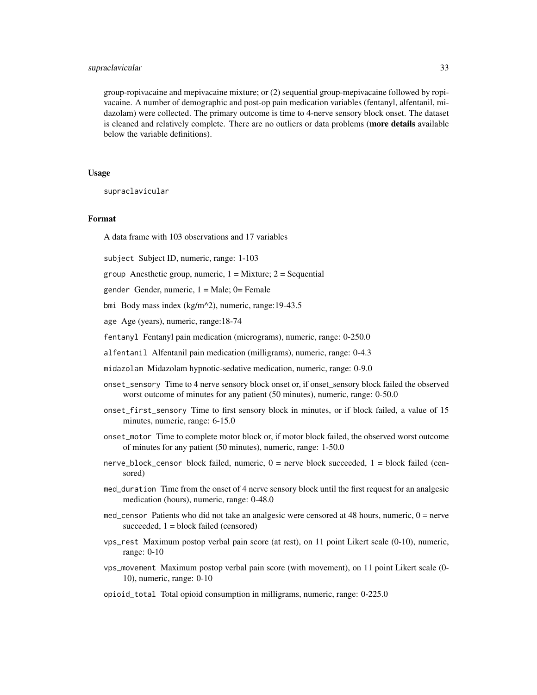#### supraclavicular 33

group-ropivacaine and mepivacaine mixture; or (2) sequential group-mepivacaine followed by ropivacaine. A number of demographic and post-op pain medication variables (fentanyl, alfentanil, midazolam) were collected. The primary outcome is time to 4-nerve sensory block onset. The dataset is cleaned and relatively complete. There are no outliers or data problems (more details available below the variable definitions).

#### Usage

supraclavicular

#### Format

A data frame with 103 observations and 17 variables

subject Subject ID, numeric, range: 1-103

group Anesthetic group, numeric,  $1 =$  Mixture;  $2 =$  Sequential

gender Gender, numeric,  $1 = Male$ ;  $0 = Female$ 

bmi Body mass index (kg/m^2), numeric, range:19-43.5

age Age (years), numeric, range:18-74

fentanyl Fentanyl pain medication (micrograms), numeric, range: 0-250.0

alfentanil Alfentanil pain medication (milligrams), numeric, range: 0-4.3

midazolam Midazolam hypnotic-sedative medication, numeric, range: 0-9.0

- onset\_sensory Time to 4 nerve sensory block onset or, if onset\_sensory block failed the observed worst outcome of minutes for any patient (50 minutes), numeric, range: 0-50.0
- onset\_first\_sensory Time to first sensory block in minutes, or if block failed, a value of 15 minutes, numeric, range: 6-15.0
- onset\_motor Time to complete motor block or, if motor block failed, the observed worst outcome of minutes for any patient (50 minutes), numeric, range: 1-50.0
- nerve\_block\_censor block failed, numeric,  $0 =$  nerve block succeeded,  $1 =$  block failed (censored)
- med\_duration Time from the onset of 4 nerve sensory block until the first request for an analgesic medication (hours), numeric, range: 0-48.0
- med\_censor Patients who did not take an analgesic were censored at 48 hours, numeric,  $0 =$  nerve succeeded,  $1 =$  block failed (censored)
- vps\_rest Maximum postop verbal pain score (at rest), on 11 point Likert scale (0-10), numeric, range: 0-10
- vps\_movement Maximum postop verbal pain score (with movement), on 11 point Likert scale (0- 10), numeric, range: 0-10
- opioid\_total Total opioid consumption in milligrams, numeric, range: 0-225.0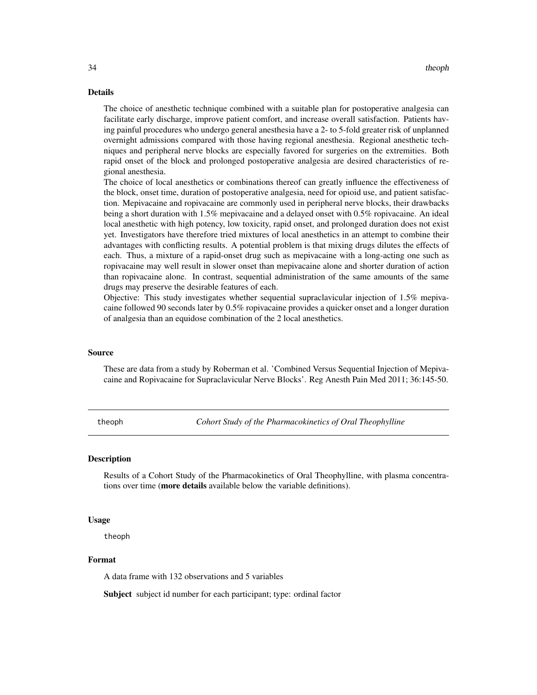<span id="page-33-0"></span>The choice of anesthetic technique combined with a suitable plan for postoperative analgesia can facilitate early discharge, improve patient comfort, and increase overall satisfaction. Patients having painful procedures who undergo general anesthesia have a 2- to 5-fold greater risk of unplanned overnight admissions compared with those having regional anesthesia. Regional anesthetic techniques and peripheral nerve blocks are especially favored for surgeries on the extremities. Both rapid onset of the block and prolonged postoperative analgesia are desired characteristics of regional anesthesia.

The choice of local anesthetics or combinations thereof can greatly influence the effectiveness of the block, onset time, duration of postoperative analgesia, need for opioid use, and patient satisfaction. Mepivacaine and ropivacaine are commonly used in peripheral nerve blocks, their drawbacks being a short duration with 1.5% mepivacaine and a delayed onset with 0.5% ropivacaine. An ideal local anesthetic with high potency, low toxicity, rapid onset, and prolonged duration does not exist yet. Investigators have therefore tried mixtures of local anesthetics in an attempt to combine their advantages with conflicting results. A potential problem is that mixing drugs dilutes the effects of each. Thus, a mixture of a rapid-onset drug such as mepivacaine with a long-acting one such as ropivacaine may well result in slower onset than mepivacaine alone and shorter duration of action than ropivacaine alone. In contrast, sequential administration of the same amounts of the same drugs may preserve the desirable features of each.

Objective: This study investigates whether sequential supraclavicular injection of 1.5% mepivacaine followed 90 seconds later by 0.5% ropivacaine provides a quicker onset and a longer duration of analgesia than an equidose combination of the 2 local anesthetics.

#### Source

These are data from a study by Roberman et al. 'Combined Versus Sequential Injection of Mepivacaine and Ropivacaine for Supraclavicular Nerve Blocks'. Reg Anesth Pain Med 2011; 36:145-50.

theoph *Cohort Study of the Pharmacokinetics of Oral Theophylline*

#### Description

Results of a Cohort Study of the Pharmacokinetics of Oral Theophylline, with plasma concentrations over time (more details available below the variable definitions).

#### Usage

theoph

#### Format

A data frame with 132 observations and 5 variables

Subject subject id number for each participant; type: ordinal factor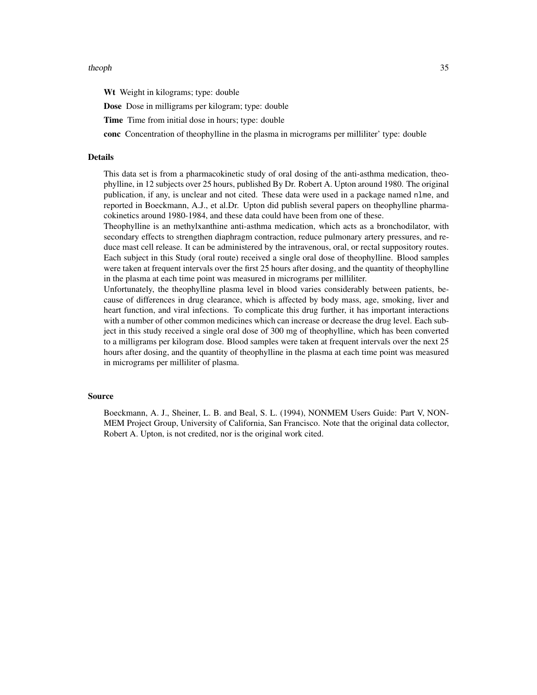#### theoph 35

Wt Weight in kilograms; type: double

Dose Dose in milligrams per kilogram; type: double

Time Time from initial dose in hours; type: double

conc Concentration of theophylline in the plasma in micrograms per milliliter' type: double

#### Details

This data set is from a pharmacokinetic study of oral dosing of the anti-asthma medication, theophylline, in 12 subjects over 25 hours, published By Dr. Robert A. Upton around 1980. The original publication, if any, is unclear and not cited. These data were used in a package named nlme, and reported in Boeckmann, A.J., et al.Dr. Upton did publish several papers on theophylline pharmacokinetics around 1980-1984, and these data could have been from one of these.

Theophylline is an methylxanthine anti-asthma medication, which acts as a bronchodilator, with secondary effects to strengthen diaphragm contraction, reduce pulmonary artery pressures, and reduce mast cell release. It can be administered by the intravenous, oral, or rectal suppository routes. Each subject in this Study (oral route) received a single oral dose of theophylline. Blood samples were taken at frequent intervals over the first 25 hours after dosing, and the quantity of theophylline in the plasma at each time point was measured in micrograms per milliliter.

Unfortunately, the theophylline plasma level in blood varies considerably between patients, because of differences in drug clearance, which is affected by body mass, age, smoking, liver and heart function, and viral infections. To complicate this drug further, it has important interactions with a number of other common medicines which can increase or decrease the drug level. Each subject in this study received a single oral dose of 300 mg of theophylline, which has been converted to a milligrams per kilogram dose. Blood samples were taken at frequent intervals over the next 25 hours after dosing, and the quantity of theophylline in the plasma at each time point was measured in micrograms per milliliter of plasma.

#### Source

Boeckmann, A. J., Sheiner, L. B. and Beal, S. L. (1994), NONMEM Users Guide: Part V, NON-MEM Project Group, University of California, San Francisco. Note that the original data collector, Robert A. Upton, is not credited, nor is the original work cited.